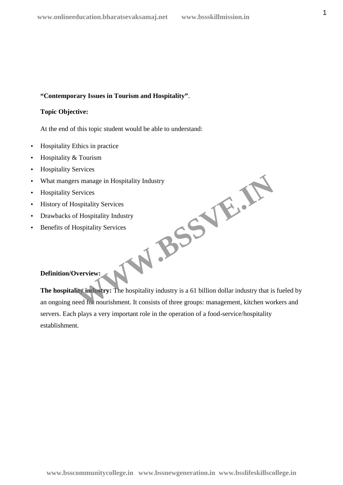## **"Contemporary Issues in Tourism and Hospitality"**.

## **Topic Objective:**

At the end of this topic student would be able to understand:

- Hospitality Ethics in practice
- Hospitality & Tourism
- Hospitality Services
- What mangers manage in Hospitality Industry **WWW.BSSVE.IN**
- Hospitality Services
- History of Hospitality Services
- Drawbacks of Hospitality Industry
- Benefits of Hospitality Services

# **Definition/Overview:**

**The hospitality industry:** The hospitality industry is a 61 billion dollar industry that is fueled by an ongoing need for nourishment. It consists of three groups: management, kitchen workers and servers. Each plays a very important role in the operation of a food-service/hospitality establishment.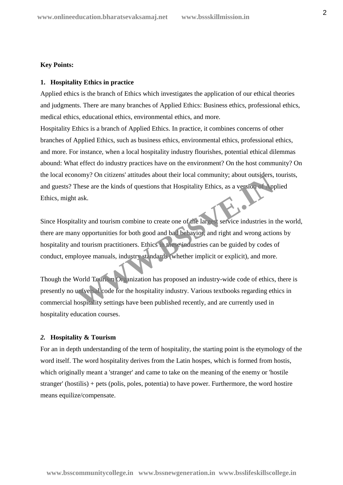## **Key Points:**

## **1. Hospitality Ethics in practice**

Applied ethics is the branch of Ethics which investigates the application of our ethical theories and judgments. There are many branches of Applied Ethics: Business ethics, professional ethics, medical ethics, educational ethics, environmental ethics, and more.

Hospitality Ethics is a branch of Applied Ethics. In practice, it combines concerns of other branches of Applied Ethics, such as business ethics, environmental ethics, professional ethics, and more. For instance, when a local hospitality industry flourishes, potential ethical dilemmas abound: What effect do industry practices have on the environment? On the host community? On the local economy? On citizens' attitudes about their local community; about outsiders, tourists, and guests? These are the kinds of questions that Hospitality Ethics, as a version of Applied Ethics, might ask.

Since Hospitality and tourism combine to create one of the largest service industries in the world, there are many opportunities for both good and bad behavior, and right and wrong actions by hospitality and tourism practitioners. Ethics in these industries can be guided by codes of conduct, employee manuals, industry standards (whether implicit or explicit), and more. Nomy? On citizens attitudes about their local community; about outsiders,<br>These are the kinds of questions that Hospitality Ethics, as a version of App<br>ask.<br>ality and tourism combine to create one of the largest service in

Though the World Tourism Organization has proposed an industry-wide code of ethics, there is presently no universal code for the hospitality industry. Various textbooks regarding ethics in commercial hospitality settings have been published recently, and are currently used in hospitality education courses.

#### *2.* **Hospitality & Tourism**

For an in depth understanding of the term of hospitality, the starting point is the etymology of the word itself. The word hospitality derives from the Latin hospes, which is formed from hostis, which originally meant a 'stranger' and came to take on the meaning of the enemy or 'hostile stranger' (hostilis) + pets (polis, poles, potentia) to have power. Furthermore, the word hostire means equilize/compensate.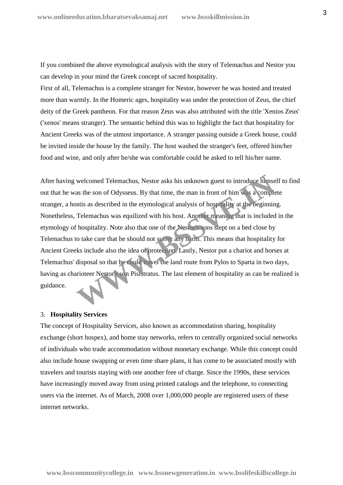If you combined the above etymological analysis with the story of Telemachus and Nestor you can develop in your mind the Greek concept of sacred hospitality.

First of all, Telemachus is a complete stranger for Nestor, however he was hosted and treated more than warmly. In the Homeric ages, hospitality was under the protection of Zeus, the chief deity of the Greek pantheon. For that reason Zeus was also attributed with the title 'Xenios Zeus' ('xenos' means stranger). The semantic behind this was to highlight the fact that hospitality for Ancient Greeks was of the utmost importance. A stranger passing outside a Greek house, could be invited inside the house by the family. The host washed the stranger's feet, offered him/her food and wine, and only after he/she was comfortable could be asked to tell his/her name.

After having welcomed Telemachus, Nestor asks his unknown guest to introduce himself to find out that he was the son of Odysseus. By that time, the man in front of him was a complete stranger, a hostis as described in the etymological analysis of hospitality at the beginning. Nonetheless, Telemachus was equilized with his host. Another meaning that is included in the etymology of hospitality. Note also that one of the Nestor's sons slept on a bed close by Telemachus to take care that he should not suffer any harm. This means that hospitality for Ancient Greeks include also the idea of protection. Lastly, Nestor put a chariot and horses at Telemachus' disposal so that he could travel the land route from Pylos to Sparta in two days, having as charioteer Nestor's son Pisistratus. The last element of hospitality as can be realized is guidance. welcomed Telemachus, Nestor asks his unknown guest to introduce himse<br>as the son of Odysseus. By that time, the man in front of him was a complete<br>stis as described in the etymological analysis of hospitality at the beginn

#### 3. **Hospitality Services**

The concept of Hospitality Services, also known as accommodation sharing, hospitality exchange (short hospex), and home stay networks, refers to centrally organized social networks of individuals who trade accommodation without monetary exchange. While this concept could also include house swapping or even time share plans, it has come to be associated mostly with travelers and tourists staying with one another free of charge. Since the 1990s, these services have increasingly moved away from using printed catalogs and the telephone, to connecting users via the internet. As of March, 2008 over 1,000,000 people are registered users of these internet networks.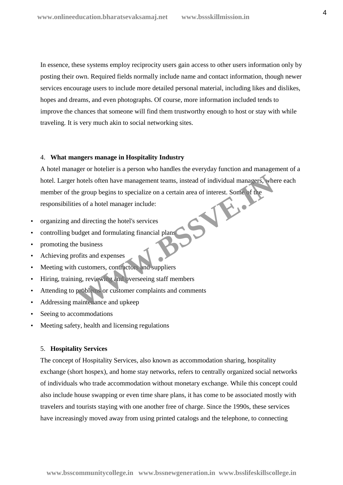In essence, these systems employ reciprocity users gain access to other users information only by posting their own. Required fields normally include name and contact information, though newer services encourage users to include more detailed personal material, including likes and dislikes, hopes and dreams, and even photographs. Of course, more information included tends to improve the chances that someone will find them trustworthy enough to host or stay with while traveling. It is very much akin to social networking sites.

#### 4. **What mangers manage in Hospitality Industry**

A hotel manager or hotelier is a person who handles the everyday function and management of a hotel. Larger hotels often have management teams, instead of individual managers, where each member of the group begins to specialize on a certain area of interest. Some of the responsibilities of a hotel manager include: hotels often have management teams, instead of individual managers, where group begins to specialize on a certain area of interest. Some of the es of a hotel manager include:<br>
and directing the hotel's services<br>
udget and

- organizing and directing the hotel's services
- controlling budget and formulating financial plans
- promoting the business
- Achieving profits and expenses
- Meeting with customers, contractors and suppliers
- Hiring, training, reviewing and overseeing staff members
- Attending to problems or customer complaints and comments
- Addressing maintenance and upkeep
- Seeing to accommodations
- Meeting safety, health and licensing regulations

#### 5. **Hospitality Services**

The concept of Hospitality Services, also known as accommodation sharing, hospitality exchange (short hospex), and home stay networks, refers to centrally organized social networks of individuals who trade accommodation without monetary exchange. While this concept could also include house swapping or even time share plans, it has come to be associated mostly with travelers and tourists staying with one another free of charge. Since the 1990s, these services have increasingly moved away from using printed catalogs and the telephone, to connecting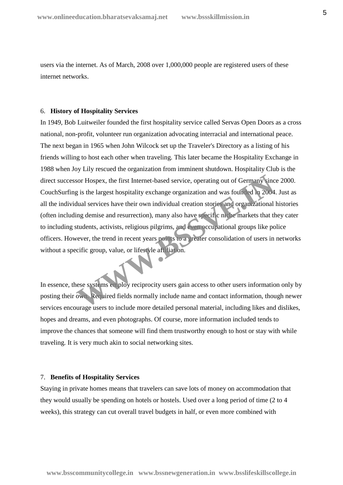users via the internet. As of March, 2008 over 1,000,000 people are registered users of these internet networks.

#### 6. **History of Hospitality Services**

In 1949, Bob Luitweiler founded the first hospitality service called Servas Open Doors as a cross national, non-profit, volunteer run organization advocating interracial and international peace. The next began in 1965 when John Wilcock set up the Traveler's Directory as a listing of his friends willing to host each other when traveling. This later became the Hospitality Exchange in 1988 when Joy Lily rescued the organization from imminent shutdown. Hospitality Club is the direct successor Hospex, the first Internet-based service, operating out of Germany since 2000. CouchSurfing is the largest hospitality exchange organization and was founded in 2004. Just as all the individual services have their own individual creation stories and organizational histories (often including demise and resurrection), many also have specific niche markets that they cater to including students, activists, religious pilgrims, and even occupational groups like police officers. However, the trend in recent years points to a greater consolidation of users in networks without a specific group, value, or lifestyle affiliation. Sor Hospex, the first Internet-based service, operating out of Germany sinc<br>g is the largest hospitality exchange organization and was founded in 2004<br>thal services have their own individual creation stories and organizati

In essence, these systems employ reciprocity users gain access to other users information only by posting their own. Required fields normally include name and contact information, though newer services encourage users to include more detailed personal material, including likes and dislikes, hopes and dreams, and even photographs. Of course, more information included tends to improve the chances that someone will find them trustworthy enough to host or stay with while traveling. It is very much akin to social networking sites.

#### 7. **Benefits of Hospitality Services**

Staying in private homes means that travelers can save lots of money on accommodation that they would usually be spending on hotels or hostels. Used over a long period of time (2 to 4 weeks), this strategy can cut overall travel budgets in half, or even more combined with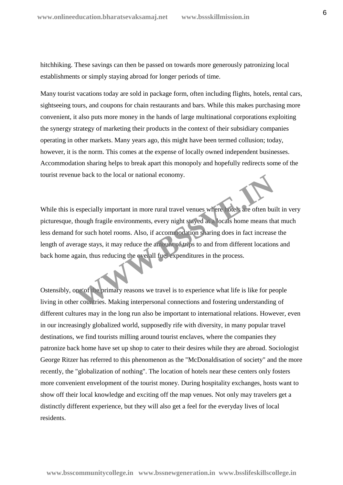hitchhiking. These savings can then be passed on towards more generously patronizing local establishments or simply staying abroad for longer periods of time.

Many tourist vacations today are sold in package form, often including flights, hotels, rental cars, sightseeing tours, and coupons for chain restaurants and bars. While this makes purchasing more convenient, it also puts more money in the hands of large multinational corporations exploiting the synergy strategy of marketing their products in the context of their subsidiary companies operating in other markets. Many years ago, this might have been termed collusion; today, however, it is the norm. This comes at the expense of locally owned independent businesses. Accommodation sharing helps to break apart this monopoly and hopefully redirects some of the tourist revenue back to the local or national economy.

While this is especially important in more rural travel venues where hotels are often built in very picturesque, though fragile environments, every night stayed at a locals home means that much less demand for such hotel rooms. Also, if accommodation sharing does in fact increase the length of average stays, it may reduce the amount of trips to and from different locations and back home again, thus reducing the overall fuel expenditures in the process. especially important in more rural travel venues where hotel's are often build<br>though fragile environments, every night stayed at a locals home means the<br>for such hotel rooms. Also, if accommodation sharing does in fact in

Ostensibly, one of the primary reasons we travel is to experience what life is like for people living in other countries. Making interpersonal connections and fostering understanding of different cultures may in the long run also be important to international relations. However, even in our increasingly globalized world, supposedly rife with diversity, in many popular travel destinations, we find tourists milling around tourist enclaves, where the companies they patronize back home have set up shop to cater to their desires while they are abroad. Sociologist George Ritzer has referred to this phenomenon as the "McDonaldisation of society" and the more recently, the "globalization of nothing". The location of hotels near these centers only fosters more convenient envelopment of the tourist money. During hospitality exchanges, hosts want to show off their local knowledge and exciting off the map venues. Not only may travelers get a distinctly different experience, but they will also get a feel for the everyday lives of local residents.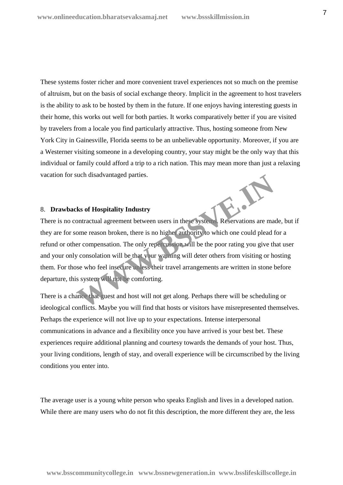These systems foster richer and more convenient travel experiences not so much on the premise of altruism, but on the basis of social exchange theory. Implicit in the agreement to host travelers is the ability to ask to be hosted by them in the future. If one enjoys having interesting guests in their home, this works out well for both parties. It works comparatively better if you are visited by travelers from a locale you find particularly attractive. Thus, hosting someone from New York City in Gainesville, Florida seems to be an unbelievable opportunity. Moreover, if you are a Westerner visiting someone in a developing country, your stay might be the only way that this individual or family could afford a trip to a rich nation. This may mean more than just a relaxing vacation for such disadvantaged parties.

#### 8. **Drawbacks of Hospitality Industry**

S. Drawbacks of Hospitality Industry<br>There is no contractual agreement between users in these systems. Reservations are made, but if they are for some reason broken, there is no higher authority to which one could plead for a refund or other compensation. The only repercussion will be the poor rating you give that user and your only consolation will be that your warning will deter others from visiting or hosting them. For those who feel insecure unless their travel arrangements are written in stone before departure, this system will not be comforting. **Example 3**<br> **Example 3**<br> **Example 3**<br> **Example 3**<br> **Example 3**<br> **Example 3**<br> **Example 3**<br> **Example 3**<br> **Example 3**<br> **Example 3**<br> **Example 3**<br> **Example 3**<br> **Example 3**<br> **Example 3**<br> **Example 3**<br> **Example 3**<br> **Example 3**<br>

There is a chance that guest and host will not get along. Perhaps there will be scheduling or ideological conflicts. Maybe you will find that hosts or visitors have misrepresented themselves. Perhaps the experience will not live up to your expectations. Intense interpersonal communications in advance and a flexibility once you have arrived is your best bet. These experiences require additional planning and courtesy towards the demands of your host. Thus, your living conditions, length of stay, and overall experience will be circumscribed by the living conditions you enter into.

The average user is a young white person who speaks English and lives in a developed nation. While there are many users who do not fit this description, the more different they are, the less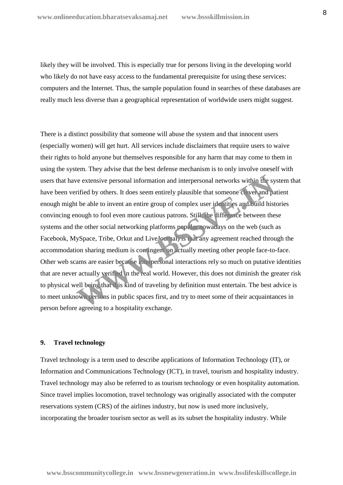likely they will be involved. This is especially true for persons living in the developing world who likely do not have easy access to the fundamental prerequisite for using these services: computers and the Internet. Thus, the sample population found in searches of these databases are really much less diverse than a geographical representation of worldwide users might suggest.

There is a distinct possibility that someone will abuse the system and that innocent users (especially women) will get hurt. All services include disclaimers that require users to waive their rights to hold anyone but themselves responsible for any harm that may come to them in using the system. They advise that the best defense mechanism is to only involve oneself with users that have extensive personal information and interpersonal networks within the system that have been verified by others. It does seem entirely plausible that someone clever and patient enough might be able to invent an entire group of complex user identities and build histories convincing enough to fool even more cautious patrons. Still, the difference between these systems and the other social networking platforms popular nowadays on the web (such as Facebook, MySpace, Tribe, Orkut and LiveJournal) is that any agreement reached through the accommodation sharing medium is contingent on actually meeting other people face-to-face. Other web scams are easier because interpersonal interactions rely so much on putative identities that are never actually verified in the real world. However, this does not diminish the greater risk to physical well being that this kind of traveling by definition must entertain. The best advice is to meet unknown persons in public spaces first, and try to meet some of their acquaintances in person before agreeing to a hospitality exchange. the extensive personal information and interpersonal networks within the syrified by others. It does seem entirely plausible that someone cever and part to able to invent an entire group of complex user identifies and buil

## **9. Travel technology**

Travel technology is a term used to describe applications of Information Technology (IT), or Information and Communications Technology (ICT), in travel, tourism and hospitality industry. Travel technology may also be referred to as tourism technology or even hospitality automation. Since travel implies locomotion, travel technology was originally associated with the computer reservations system (CRS) of the airlines industry, but now is used more inclusively, incorporating the broader tourism sector as well as its subset the hospitality industry. While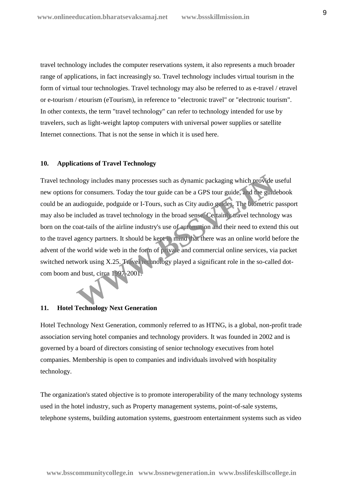travel technology includes the computer reservations system, it also represents a much broader range of applications, in fact increasingly so. Travel technology includes virtual tourism in the form of virtual tour technologies. Travel technology may also be referred to as e-travel / etravel or e-tourism / etourism (eTourism), in reference to "electronic travel" or "electronic tourism". In other contexts, the term "travel technology" can refer to technology intended for use by travelers, such as light-weight laptop computers with universal power supplies or satellite Internet connections. That is not the sense in which it is used here.

## **10. Applications of Travel Technology**

Travel technology includes many processes such as dynamic packaging which provide useful new options for consumers. Today the tour guide can be a GPS tour guide, and the guidebook could be an audioguide, podguide or I-Tours, such as City audio guides. The biometric passport may also be included as travel technology in the broad sense. Certainly travel technology was born on the coat-tails of the airline industry's use of automation and their need to extend this out to the travel agency partners. It should be kept in mind that there was an online world before the advent of the world wide web in the form of private and commercial online services, via packet switched network using X.25. Travel technology played a significant role in the so-called dot com boom and bust, circa 1997-2001. blogy includes many processes such as dynamic packaging which provide<br>for consumers. Today the tour guide can be a GPS tour guide, and the guid<br>udioguide, podguide or I-Tours, such as City audio guides. The biometric<br>nclud

#### **11. Hotel Technology Next Generation**

Hotel Technology Next Generation, commonly referred to as HTNG, is a global, non-profit trade association serving hotel companies and technology providers. It was founded in 2002 and is governed by a board of directors consisting of senior technology executives from hotel companies. Membership is open to companies and individuals involved with hospitality technology.

The organization's stated objective is to promote interoperability of the many technology systems used in the hotel industry, such as Property management systems, point-of-sale systems, telephone systems, building automation systems, guestroom entertainment systems such as video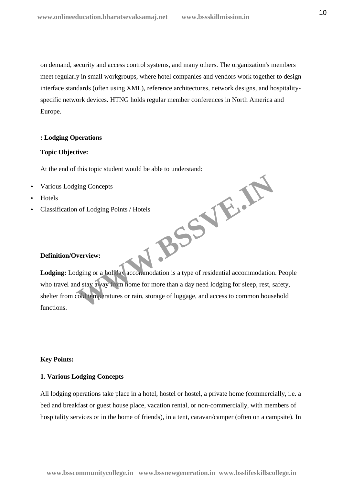on demand, security and access control systems, and many others. The organization's members meet regularly in small workgroups, where hotel companies and vendors work together to design interface standards (often using XML), reference architectures, network designs, and hospitality specific network devices. HTNG holds regular member conferences in North America and Europe.

## **: Lodging Operations**

## **Topic Objective:**

At the end of this topic student would be able to understand:

- Various Lodging Concepts
- Hotels
- Classification of Lodging Points / Hotels

## **Definition/Overview:**

**Lodging:** Lodging or a holiday accommodation is a type of residential accommodation. People who travel and stay away from home for more than a day need lodging for sleep, rest, safety, shelter from cold temperatures or rain, storage of luggage, and access to common household functions. **WWW.BSSVE.IN**

## **Key Points:**

## **1. Various Lodging Concepts**

All lodging operations take place in a hotel, hostel or hostel, a private home (commercially, i.e. a bed and breakfast or guest house place, vacation rental, or non-commercially, with members of hospitality services or in the home of friends), in a tent, caravan/camper (often on a campsite). In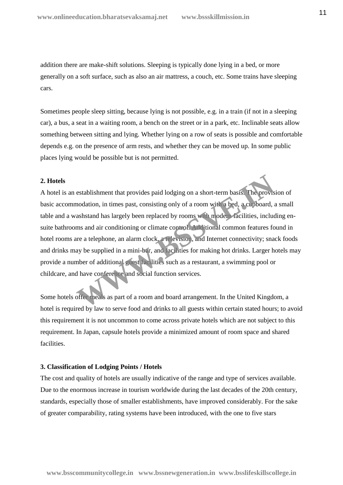addition there are make-shift solutions. Sleeping is typically done lying in a bed, or more generally on a soft surface, such as also an air mattress, a couch, etc. Some trains have sleeping cars.

Sometimes people sleep sitting, because lying is not possible, e.g. in a train (if not in a sleeping car), a bus, a seat in a waiting room, a bench on the street or in a park, etc. Inclinable seats allow something between sitting and lying. Whether lying on a row of seats is possible and comfortable depends e.g. on the presence of arm rests, and whether they can be moved up. In some public places lying would be possible but is not permitted.

## **2. Hotels**

A hotel is an establishment that provides paid lodging on a short-term basis. The provision of basic accommodation, in times past, consisting only of a room with a bed, a cupboard, a small table and a washstand has largely been replaced by rooms with modern facilities, including en suite bathrooms and air conditioning or climate control. Additional common features found in hotel rooms are a telephone, an alarm clock, a television, and Internet connectivity; snack foods and drinks may be supplied in a mini-bar, and facilities for making hot drinks. Larger hotels may provide a number of additional guest facilities such as a restaurant, a swimming pool or childcare, and have conference and social function services. establishment that provides paid lodging on a short-term basis. The provision and a modation, in times past, consisting only of a room with a bed, a cupboard, a ashstand has largely been replaced by rooms with model. Facil

Some hotels offer meals as part of a room and board arrangement. In the United Kingdom, a hotel is required by law to serve food and drinks to all guests within certain stated hours; to avoid this requirement it is not uncommon to come across private hotels which are not subject to this requirement. In Japan, capsule hotels provide a minimized amount of room space and shared facilities.

## **3. Classification of Lodging Points / Hotels**

The cost and quality of hotels are usually indicative of the range and type of services available. Due to the enormous increase in tourism worldwide during the last decades of the 20th century, standards, especially those of smaller establishments, have improved considerably. For the sake of greater comparability, rating systems have been introduced, with the one to five stars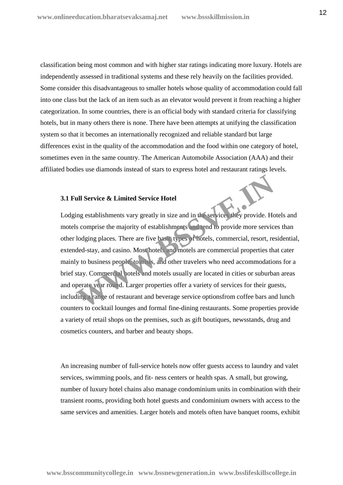classification being most common and with higher star ratings indicating more luxury. Hotels are independently assessed in traditional systems and these rely heavily on the facilities provided. Some consider this disadvantageous to smaller hotels whose quality of accommodation could fall into one class but the lack of an item such as an elevator would prevent it from reaching a higher categorization. In some countries, there is an official body with standard criteria for classifying hotels, but in many others there is none. There have been attempts at unifying the classification system so that it becomes an internationally recognized and reliable standard but large differences exist in the quality of the accommodation and the food within one category of hotel, sometimes even in the same country. The American Automobile Association (AAA) and their affiliated bodies use diamonds instead of stars to express hotel and restaurant ratings levels.

#### **3.1 Full Service & Limited Service Hotel**

Lodging establishments vary greatly in size and in the services they provide. Hotels and motels comprise the majority of establishments and tend to provide more services than other lodging places. There are five basic types of hotels, commercial, resort, residential, extended-stay, and casino. Most hotels and motels are commercial properties that cater mainly to business people, tourists, and other travelers who need accommodations for a brief stay. Commercial hotels and motels usually are located in cities or suburban areas and operate year round. Larger properties offer a variety of services for their guests, including a range of restaurant and beverage service optionsfrom coffee bars and lunch counters to cocktail lounges and formal fine-dining restaurants. Some properties provide a variety of retail shops on the premises, such as gift boutiques, newsstands, drug and cosmetics counters, and barber and beauty shops. **CONTAINSTERN SERVICE SERVICES AND SERVICES SERVICES**<br>
In establishments vary greatly in size and in the services they provide. He<br>
s comprise the majority of establishments and tend to provide more service<br>
Iddging places

An increasing number of full-service hotels now offer guests access to laundry and valet services, swimming pools, and fit- ness centers or health spas. A small, but growing, number of luxury hotel chains also manage condominium units in combination with their transient rooms, providing both hotel guests and condominium owners with access to the same services and amenities. Larger hotels and motels often have banquet rooms, exhibit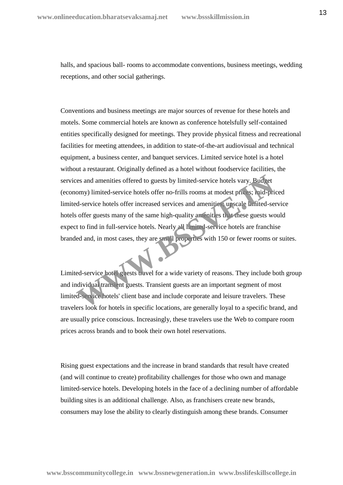halls, and spacious ball- rooms to accommodate conventions, business meetings, wedding receptions, and other social gatherings.

Conventions and business meetings are major sources of revenue for these hotels and motels. Some commercial hotels are known as conference hotelsfully self-contained entities specifically designed for meetings. They provide physical fitness and recreational facilities for meeting attendees, in addition to state-of-the-art audiovisual and technical equipment, a business center, and banquet services. Limited service hotel is a hotel without a restaurant. Originally defined as a hotel without foodservice facilities, the services and amenities offered to guests by limited-service hotels vary. Budget (economy) limited-service hotels offer no-frills rooms at modest prices; mid-priced limited-service hotels offer increased services and amenities; upscale limited-service hotels offer guests many of the same high-quality amenities that these guests would expect to find in full-service hotels. Nearly all limited-service hotels are franchise branded and, in most cases, they are small properties with 150 or fewer rooms or suites. res and amenities offered to guests by limited-service hotels vary. Budget<br>omy) limited-service hotels offer no-frills rooms at modest prices; mid-pri<br>d-service hotels offer increased services and amenities upscale limited

Limited-service hotel guests travel for a wide variety of reasons. They include both group and individual transient guests. Transient guests are an important segment of most limited-service hotels' client base and include corporate and leisure travelers. These travelers look for hotels in specific locations, are generally loyal to a specific brand, and are usually price conscious. Increasingly, these travelers use the Web to compare room prices across brands and to book their own hotel reservations.

Rising guest expectations and the increase in brand standards that result have created (and will continue to create) profitability challenges for those who own and manage limited-service hotels. Developing hotels in the face of a declining number of affordable building sites is an additional challenge. Also, as franchisers create new brands, consumers may lose the ability to clearly distinguish among these brands. Consumer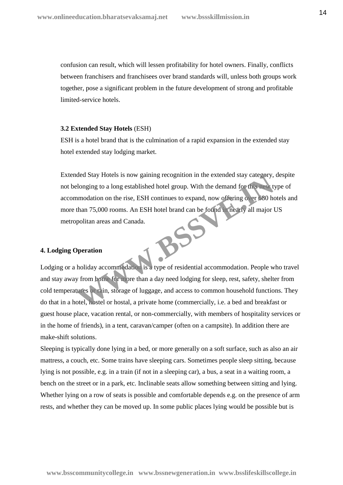confusion can result, which will lessen profitability for hotel owners. Finally, conflicts between franchisers and franchisees over brand standards will, unless both groups work together, pose a significant problem in the future development of strong and profitable limited-service hotels.

## **3.2 Extended Stay Hotels** (ESH)

ESH is a hotel brand that is the culmination of a rapid expansion in the extended stay hotel extended stay lodging market.

Extended Stay Hotels is now gaining recognition in the extended stay category, despite not belonging to a long established hotel group. With the demand for this new type of accommodation on the rise, ESH continues to expand, now offering over 680 hotels and more than 75,000 rooms. An ESH hotel brand can be found in nearly all major US<br>metropolitan areas and Canada.<br>ging Operation metropolitan areas and Canada. ded Stay Hotels is now gaining recognition in the extended stay category,<br>clonging to a long established hotel group. With the demand for this new the<br>modation on the rise, ESH continues to expand, now offering over 680 ho

## **4. Lodging Operation**

Lodging or a holiday accommodation is a type of residential accommodation. People who travel and stay away from home for more than a day need lodging for sleep, rest, safety, shelter from cold temperatures or rain, storage of luggage, and access to common household functions. They do that in a hotel, hostel or hostal, a private home (commercially, i.e. a bed and breakfast or guest house place, vacation rental, or non-commercially, with members of hospitality services or in the home of friends), in a tent, caravan/camper (often on a campsite). In addition there are make-shift solutions.

Sleeping is typically done lying in a bed, or more generally on a soft surface, such as also an air mattress, a couch, etc. Some trains have sleeping cars. Sometimes people sleep sitting, because lying is not possible, e.g. in a train (if not in a sleeping car), a bus, a seat in a waiting room, a bench on the street or in a park, etc. Inclinable seats allow something between sitting and lying. Whether lying on a row of seats is possible and comfortable depends e.g. on the presence of arm rests, and whether they can be moved up. In some public places lying would be possible but is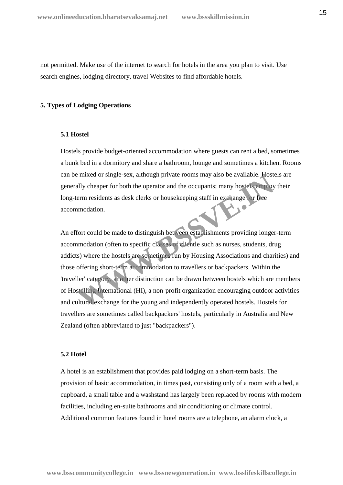not permitted. Make use of the internet to search for hotels in the area you plan to visit. Use search engines, lodging directory, travel Websites to find affordable hotels.

## **5. Types of Lodging Operations**

#### **5.1 Hostel**

Hostels provide budget-oriented accommodation where guests can rent a bed, sometimes a bunk bed in a dormitory and share a bathroom, lounge and sometimes a kitchen. Rooms can be mixed or single-sex, although private rooms may also be available. Hostels are generally cheaper for both the operator and the occupants; many hostels employ their long-term residents as desk clerks or housekeeping staff in exchange for free accommodation. accommodation.

An effort could be made to distinguish between establishments providing longer-term accommodation (often to specific classes of clientle such as nurses, students, drug addicts) where the hostels are sometimes run by Housing Associations and charities) and those offering short-term accommodation to travellers or backpackers. Within the 'traveller' category, another distinction can be drawn between hostels which are members of Hostelling International (HI), a non-profit organization encouraging outdoor activities and cultural exchange for the young and independently operated hostels. Hostels for travellers are sometimes called backpackers' hostels, particularly in Australia and New Zealand (often abbreviated to just "backpackers"). Finxed or single-sex, although private rooms may also be available. Hostelly cheaper for both the operator and the occupants; many hostels employed them residents as desk clerks or housekeeping staff in exchange or the amo

## **5.2 Hotel**

A hotel is an establishment that provides paid lodging on a short-term basis. The provision of basic accommodation, in times past, consisting only of a room with a bed, a cupboard, a small table and a washstand has largely been replaced by rooms with modern facilities, including en-suite bathrooms and air conditioning or climate control. Additional common features found in hotel rooms are a telephone, an alarm clock, a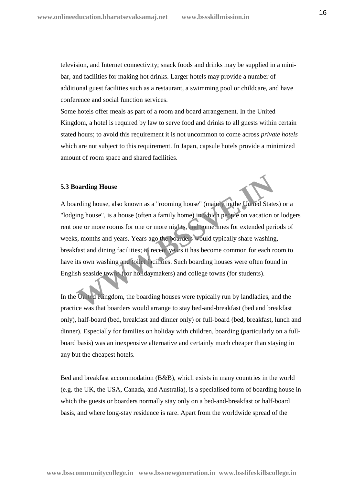television, and Internet connectivity; snack foods and drinks may be supplied in a mini bar, and facilities for making hot drinks. Larger hotels may provide a number of additional guest facilities such as a restaurant, a swimming pool or childcare, and have conference and social function services.

Some hotels offer meals as part of a room and board arrangement. In the United Kingdom, a hotel is required by law to serve food and drinks to all guests within certain stated hours; to avoid this requirement it is not uncommon to come across *private hotels* which are not subject to this requirement. In Japan, capsule hotels provide a minimized amount of room space and shared facilities.

## **5.3 Boarding House**

A boarding house, also known as a "rooming house" (mainly in the United States) or a "lodging house", is a house (often a family home) in which people on vacation or lodgers rent one or more rooms for one or more nights, and sometimes for extended periods of weeks, months and years. Years ago the boarders would typically share washing, breakfast and dining facilities; in recent years it has become common for each room to have its own washing and toilet facilities. Such boarding houses were often found in English seaside towns (for holidaymakers) and college towns (for students). **State Source Source Set and Source Set and Source Set and Source Set and Source Set and Source Set and Source Set and Source Set and Source Set and Source Set and Source Set and Source Set and Source Set and Source Set an** 

In the United Kingdom, the boarding houses were typically run by landladies, and the practice was that boarders would arrange to stay bed-and-breakfast (bed and breakfast only), half-board (bed, breakfast and dinner only) or full-board (bed, breakfast, lunch and dinner). Especially for families on holiday with children, boarding (particularly on a full board basis) was an inexpensive alternative and certainly much cheaper than staying in any but the cheapest hotels.

Bed and breakfast accommodation (B&B), which exists in many countries in the world (e.g. the UK, the USA, Canada, and Australia), is a specialised form of boarding house in which the guests or boarders normally stay only on a bed-and-breakfast or half-board basis, and where long-stay residence is rare. Apart from the worldwide spread of the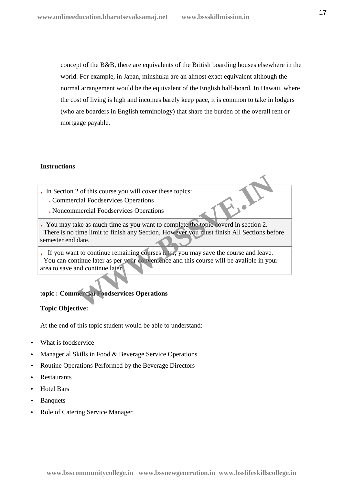concept of the B&B, there are equivalents of the British boarding houses elsewhere in the world. For example, in Japan, minshuku are an almost exact equivalent although the normal arrangement would be the equivalent of the English half-board. In Hawaii, where the cost of living is high and incomes barely keep pace, it is common to take in lodgers (who are boarders in English terminology) that share the burden of the overall rent or mortgage payable.

## **Instructions**

- In Section 2 of this course you will cover these topics: Commercial Foodservices Operations
	- Noncommercial Foodservices Operations

You may take as much time as you want to complete the topic coverd in section 2. There is no time limit to finish any Section, However you must finish All Sections before semester end date. 2 of this course you will cover these topics:<br>
cial Foodservices Operations<br>
mercial Foodservices Operations<br>
ake as much time as you want to complete the topic coverd in section 2.<br>
date.<br>
date.<br>
t to continue remaining c

If you want to continue remaining courses later, you may save the course and leave. You can continue later as per your convenience and this course will be avalible in your area to save and continue later.

## t**opic : Commercial Foodservices Operations**

## **Topic Objective:**

At the end of this topic student would be able to understand:

- What is foodservice
- Managerial Skills in Food & Beverage Service Operations
- Routine Operations Performed by the Beverage Directors
- Restaurants
- Hotel Bars
- **B**anquets
- Role of Catering Service Manager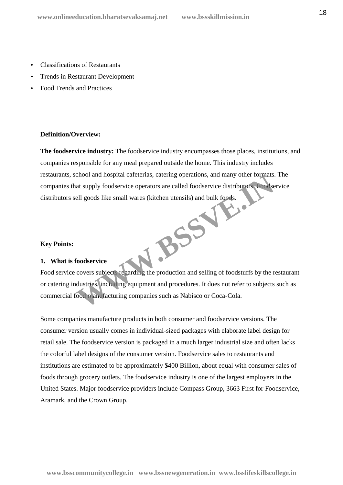- Classifications of Restaurants
- Trends in Restaurant Development
- Food Trends and Practices

#### **Definition/Overview:**

**The foodservice industry:** The foodservice industry encompasses those places, institutions, and companies responsible for any meal prepared outside the home. This industry includes restaurants, school and hospital cafeterias, catering operations, and many other formats. The companies that supply foodservice operators are called foodservice distributors. Foodservice distributors sell goods like small wares (kitchen utensils) and bulk foods. **WWW.BSSVE.IN**

#### **Key Points:**

#### **1. What is foodservice**

Food service covers subjects regarding the production and selling of foodstuffs by the restaurant or catering industries, including equipment and procedures. It does not refer to subjects such as commercial food manufacturing companies such as Nabisco or Coca-Cola.

Some companies manufacture products in both consumer and foodservice versions. The consumer version usually comes in individual-sized packages with elaborate label design for retail sale. The foodservice version is packaged in a much larger industrial size and often lacks the colorful label designs of the consumer version. Foodservice sales to restaurants and institutions are estimated to be approximately \$400 Billion, about equal with consumer sales of foods through grocery outlets. The foodservice industry is one of the largest employers in the United States. Major foodservice providers include Compass Group, 3663 First for Foodservice, Aramark, and the Crown Group.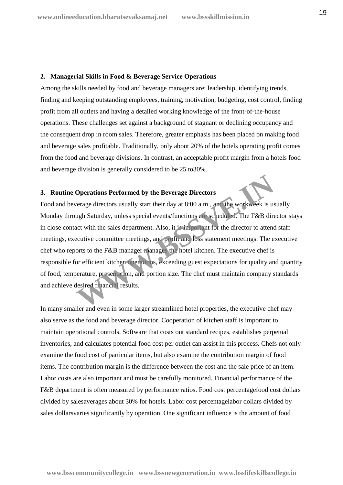#### **2. Managerial Skills in Food & Beverage Service Operations**

Among the skills needed by food and beverage managers are: leadership, identifying trends, finding and keeping outstanding employees, training, motivation, budgeting, cost control, finding profit from all outlets and having a detailed working knowledge of the front-of-the-house operations. These challenges set against a background of stagnant or declining occupancy and the consequent drop in room sales. Therefore, greater emphasis has been placed on making food and beverage sales profitable. Traditionally, only about 20% of the hotels operating profit comes from the food and beverage divisions. In contrast, an acceptable profit margin from a hotels food and beverage division is generally considered to be 25 to30%.

## **3. Routine Operations Performed by the Beverage Directors**

Food and beverage directors usually start their day at 8:00 a.m., and the workweek is usually Monday through Saturday, unless special events/functions are scheduled. The F&B director stays in close contact with the sales department. Also, it is important for the director to attend staff meetings, executive committee meetings, and profit and loss statement meetings. The executive chef who reports to the F&B manager manages the hotel kitchen. The executive chef is responsible for efficient kitchen operations, exceeding guest expectations for quality and quantity of food, temperature, presentation, and portion size. The chef must maintain company standards and achieve desired financial results. **Operations Performed by the Beverage Directors**<br>
verage directors usually start their day at 8:00 a.m., and the workweek is usugh Saturday, unless special events/functions are schedul of. The F&B direct with the sales dep

In many smaller and even in some larger streamlined hotel properties, the executive chef may also serve as the food and beverage director. Cooperation of kitchen staff is important to maintain operational controls. Software that costs out standard recipes, establishes perpetual inventories, and calculates potential food cost per outlet can assist in this process. Chefs not only examine the food cost of particular items, but also examine the contribution margin of food items. The contribution margin is the difference between the cost and the sale price of an item. Labor costs are also important and must be carefully monitored. Financial performance of the F&B department is often measured by performance ratios. Food cost percentagefood cost dollars divided by salesaverages about 30% for hotels. Labor cost percentagelabor dollars divided by sales dollarsvaries significantly by operation. One significant influence is the amount of food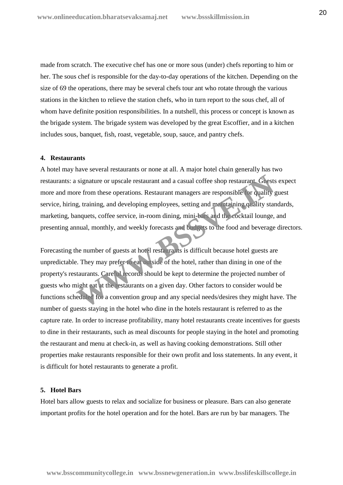made from scratch. The executive chef has one or more sous (under) chefs reporting to him or her. The sous chef is responsible for the day-to-day operations of the kitchen. Depending on the size of 69 the operations, there may be several chefs tour ant who rotate through the various stations in the kitchen to relieve the station chefs, who in turn report to the sous chef, all of whom have definite position responsibilities. In a nutshell, this process or concept is known as the brigade system. The brigade system was developed by the great Escoffier, and in a kitchen includes sous, banquet, fish, roast, vegetable, soup, sauce, and pantry chefs.

#### **4. Restaurants**

A hotel may have several restaurants or none at all. A major hotel chain generally has two restaurants: a signature or upscale restaurant and a casual coffee shop restaurant. Guests expect more and more from these operations. Restaurant managers are responsible for quality guest service, hiring, training, and developing employees, setting and maintaining quality standards, marketing, banquets, coffee service, in-room dining, mini-bars and the cocktail lounge, and presenting annual, monthly, and weekly forecasts and budgets to the food and beverage directors.

Forecasting the number of guests at hotel restaurants is difficult because hotel guests are unpredictable. They may prefer to eat outside of the hotel, rather than dining in one of the property's restaurants. Careful records should be kept to determine the projected number of guests who might eat at the restaurants on a given day. Other factors to consider would be functions scheduled for a convention group and any special needs/desires they might have. The number of guests staying in the hotel who dine in the hotels restaurant is referred to as the capture rate. In order to increase profitability, many hotel restaurants create incentives for guests to dine in their restaurants, such as meal discounts for people staying in the hotel and promoting the restaurant and menu at check-in, as well as having cooking demonstrations. Still other properties make restaurants responsible for their own profit and loss statements. In any event, it is difficult for hotel restaurants to generate a profit. signature or upscale restaurant and a casual coffee shop restaurant. Guests<br>re from these operations. Restaurant managers are responsible or quality<br>g, training, and developing employees, setting and maintaining quality st

## **5. Hotel Bars**

Hotel bars allow guests to relax and socialize for business or pleasure. Bars can also generate important profits for the hotel operation and for the hotel. Bars are run by bar managers. The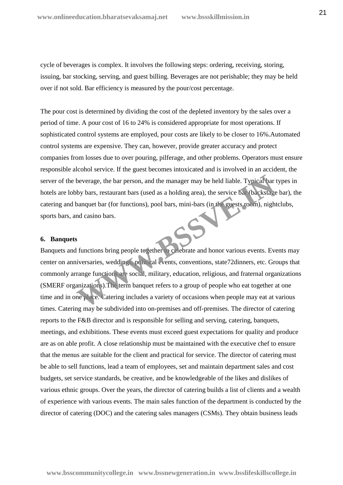cycle of beverages is complex. It involves the following steps: ordering, receiving, storing, issuing, bar stocking, serving, and guest billing. Beverages are not perishable; they may be held over if not sold. Bar efficiency is measured by the pour/cost percentage.

The pour cost is determined by dividing the cost of the depleted inventory by the sales over a period of time. A pour cost of 16 to 24% is considered appropriate for most operations. If sophisticated control systems are employed, pour costs are likely to be closer to 16%.Automated control systems are expensive. They can, however, provide greater accuracy and protect companies from losses due to over pouring, pilferage, and other problems. Operators must ensure responsible alcohol service. If the guest becomes intoxicated and is involved in an accident, the server of the beverage, the bar person, and the manager may be held liable. Typical bar types in hotels are lobby bars, restaurant bars (used as a holding area), the service bar (backstage bar), the catering and banquet bar (for functions), pool bars, mini-bars (in the guests room), nightclubs, sports bars, and casino bars.

#### **6. Banquets**

Banquets and functions bring people together to celebrate and honor various events. Events may center on anniversaries, weddings, political events, conventions, state72dinners, etc. Groups that commonly arrange functions are social, military, education, religious, and fraternal organizations (SMERF organizations).The term banquet refers to a group of people who eat together at one time and in one place. Catering includes a variety of occasions when people may eat at various times. Catering may be subdivided into on-premises and off-premises. The director of catering reports to the F&B director and is responsible for selling and serving, catering, banquets, meetings, and exhibitions. These events must exceed guest expectations for quality and produce are as on able profit. A close relationship must be maintained with the executive chef to ensure that the menus are suitable for the client and practical for service. The director of catering must be able to sell functions, lead a team of employees, set and maintain department sales and cost budgets, set service standards, be creative, and be knowledgeable of the likes and dislikes of various ethnic groups. Over the years, the director of catering builds a list of clients and a wealth of experience with various events. The main sales function of the department is conducted by the director of catering (DOC) and the catering sales managers (CSMs). They obtain business leads beverage, the bar person, and the manager may be held liable. Typical bar<br>by bars, restaurant bars (used as a holding area), the service bar (backstage<br>banquet bar (for functions), pool bars, mini-bars (in the grests room)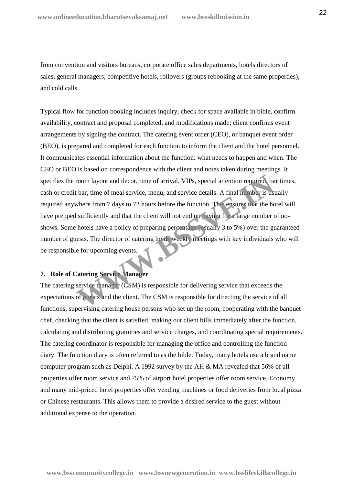from convention and visitors bureaus, corporate office sales departments, hotels directors of sales, general managers, competitive hotels, rollovers (groups rebooking at the same properties), and cold calls.

Typical flow for function booking includes inquiry, check for space available in bible, confirm availability, contract and proposal completed, and modifications made; client confirms event arrangements by signing the contract. The catering event order (CEO), or banquet event order (BEO), is prepared and completed for each function to inform the client and the hotel personnel. It communicates essential information about the function: what needs to happen and when. The CEO or BEO is based on correspondence with the client and notes taken during meetings. It specifies the room layout and decor, time of arrival, VIPs, special attention required, bar times, cash or credit bar, time of meal service, menu, and service details. A final number is usually required anywhere from 7 days to 72 hours before the function. This ensures that the hotel will have prepped sufficiently and that the client will not end up paying for a large number of noshows. Some hotels have a policy of preparing percentage (usually 3 to 5%) over the guaranteed number of guests. The director of catering holds weekly meetings with key individuals who will be responsible for upcoming events. From layout and decor, time of arrival, VIPs, special attention required based bar, time of meal service, menu, and service details. A final number is used where from 7 days to 72 hours before the function. The ensures tha

## **7. Role of Catering Service Manager**

The catering service manager (CSM) is responsible for delivering service that exceeds the expectations of guests and the client. The CSM is responsible for directing the service of all functions, supervising catering house persons who set up the room, cooperating with the banquet chef, checking that the client is satisfied, making out client bills immediately after the function, calculating and distributing gratuities and service charges, and coordinating special requirements. The catering coordinator is responsible for managing the office and controlling the function diary. The function diary is often referred to as the bible. Today, many hotels use a brand name computer program such as Delphi. A 1992 survey by the AH & MA revealed that 56% of all properties offer room service and 75% of airport hotel properties offer room service. Economy and many mid-priced hotel properties offer vending machines or food deliveries from local pizza or Chinese restaurants. This allows them to provide a desired service to the guest without additional expense to the operation.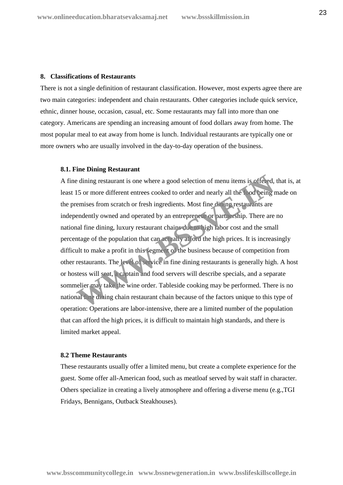#### **8. Classifications of Restaurants**

There is not a single definition of restaurant classification. However, most experts agree there are two main categories: independent and chain restaurants. Other categories include quick service, ethnic, dinner house, occasion, casual, etc. Some restaurants may fall into more than one category. Americans are spending an increasing amount of food dollars away from home. The most popular meal to eat away from home is lunch. Individual restaurants are typically one or more owners who are usually involved in the day-to-day operation of the business.

#### **8.1. Fine Dining Restaurant**

A fine dining restaurant is one where a good selection of menu items is offered, that is, at least 15 or more different entrees cooked to order and nearly all the food being made on the premises from scratch or fresh ingredients. Most fine dining restaurants are independently owned and operated by an entrepreneur or partnership. There are no national fine dining, luxury restaurant chains due to high labor cost and the small percentage of the population that can actually afford the high prices. It is increasingly difficult to make a profit in this segment of the business because of competition from other restaurants. The level of service in fine dining restaurants is generally high. A host or hostess will seat, a captain and food servers will describe specials, and a separate sommelier may take the wine order. Tableside cooking may be performed. There is no national fine dining chain restaurant chain because of the factors unique to this type of operation: Operations are labor-intensive, there are a limited number of the population that can afford the high prices, it is difficult to maintain high standards, and there is limited market appeal. E dining restaurant is one where a good selection of menu items is offered,<br>15 or more different entrees cooked to order and nearly all the **lood being** remises from scratch or fresh ingredients. Most fine dining restauran

## **8.2 Theme Restaurants**

These restaurants usually offer a limited menu, but create a complete experience for the guest. Some offer all-American food, such as meatloaf served by wait staff in character. Others specialize in creating a lively atmosphere and offering a diverse menu (e.g.,TGI Fridays, Bennigans, Outback Steakhouses).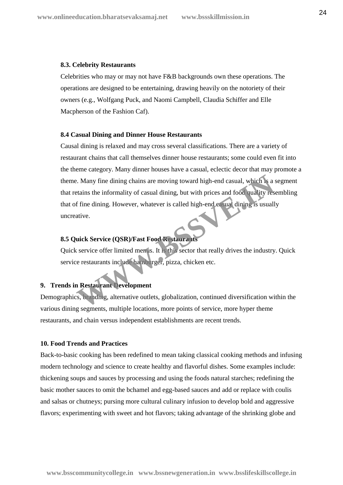#### **8.3. Celebrity Restaurants**

Celebrities who may or may not have F&B backgrounds own these operations. The operations are designed to be entertaining, drawing heavily on the notoriety of their owners (e.g., Wolfgang Puck, and Naomi Campbell, Claudia Schiffer and Elle Macpherson of the Fashion Caf).

## **8.4 Casual Dining and Dinner House Restaurants**

Causal dining is relaxed and may cross several classifications. There are a variety of restaurant chains that call themselves dinner house restaurants; some could even fit into the theme category. Many dinner houses have a casual, eclectic decor that may promote a theme. Many fine dining chains are moving toward high-end casual, which is a segment that retains the informality of casual dining, but with prices and food quality resembling that of fine dining. However, whatever is called high-end casual dining is usually uncreative. **Example 18 All the United Service CSR)**<br>
Etains the informality of casual dining, but with prices and food vuality restants the informality of casual dining, but with prices and food vuality restant of fine dining. Howeve

# **8.5 Quick Service (QSR)/Fast Food Restaurants**

Quick service offer limited menus. It is this sector that really drives the industry. Quick service restaurants include hamburger, pizza, chicken etc.

# **9. Trends in Restaurant Development**

Demographics, branding, alternative outlets, globalization, continued diversification within the various dining segments, multiple locations, more points of service, more hyper theme restaurants, and chain versus independent establishments are recent trends.

## **10. Food Trends and Practices**

Back-to-basic cooking has been redefined to mean taking classical cooking methods and infusing modern technology and science to create healthy and flavorful dishes. Some examples include: thickening soups and sauces by processing and using the foods natural starches; redefining the basic mother sauces to omit the bchamel and egg-based sauces and add or replace with coulis and salsas or chutneys; pursing more cultural culinary infusion to develop bold and aggressive flavors; experimenting with sweet and hot flavors; taking advantage of the shrinking globe and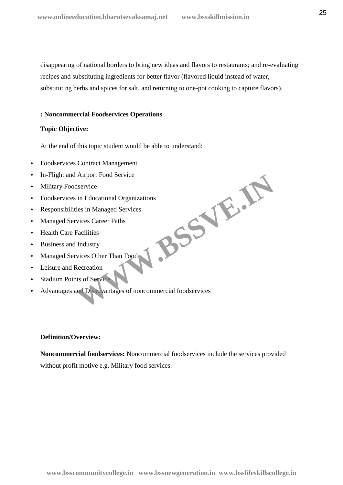disappearing of national borders to bring new ideas and flavors to restaurants; and re-evaluating recipes and substituting ingredients for better flavor (flavored liquid instead of water, substituting herbs and spices for salt, and returning to one-pot cooking to capture flavors).

## **: Noncommercial Foodservices Operations**

## **Topic Objective:**

At the end of this topic student would be able to understand:

- Foodservices Contract Management
- In-Flight and Airport Food Service
- Military Foodservice
- Foodservices in Educational Organizations **WWW.BSSVE.IN**
- Responsibilities in Managed Services
- Managed Services Career Paths
- Health Care Facilities
- Business and Industry
- Managed Services Other Than Food
- Leisure and Recreation
- Stadium Points of Service
- Advantages and Disadvantages of noncommercial foodservices

## **Definition/Overview:**

**Noncommercial foodservices:** Noncommercial foodservices include the services provided without profit motive e.g. Military food services.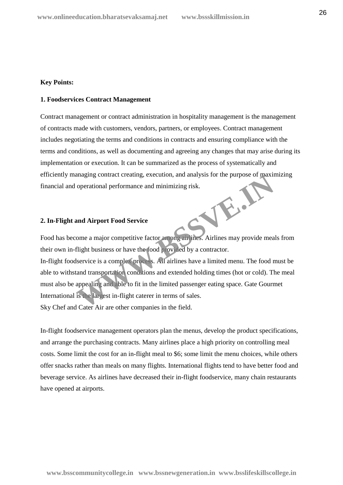## **Key Points:**

## **1. Foodservices Contract Management**

Contract management or contract administration in hospitality management is the management of contracts made with customers, vendors, partners, or employees. Contract management includes negotiating the terms and conditions in contracts and ensuring compliance with the terms and conditions, as well as documenting and agreeing any changes that may arise during its implementation or execution. It can be summarized as the process of systematically and efficiently managing contract creating, execution, and analysis for the purpose of maximizing financial and operational performance and minimizing risk. WWW.BS

## **2. In-Flight and Airport Food Service**

Food has become a major competitive factor among airlines. Airlines may provide meals from their own in-flight business or have the food provided by a contractor. In-flight foodservice is a complex process. All airlines have a limited menu. The food must be able to withstand transportation conditions and extended holding times (hot or cold). The meal must also be appealing and able to fit in the limited passenger eating space. Gate Gourmet International is the largest in-flight caterer in terms of sales.

Sky Chef and Cater Air are other companies in the field.

In-flight foodservice management operators plan the menus, develop the product specifications, and arrange the purchasing contracts. Many airlines place a high priority on controlling meal costs. Some limit the cost for an in-flight meal to \$6; some limit the menu choices, while others offer snacks rather than meals on many flights. International flights tend to have better food and beverage service. As airlines have decreased their in-flight foodservice, many chain restaurants have opened at airports.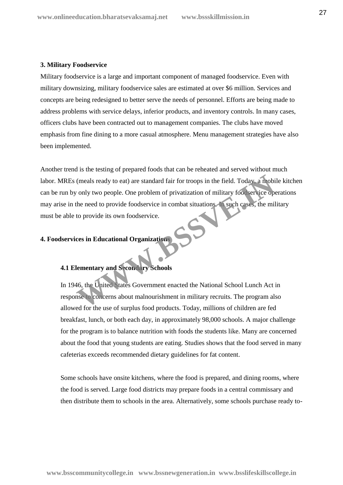#### **3. Military Foodservice**

Military foodservice is a large and important component of managed foodservice. Even with military downsizing, military foodservice sales are estimated at over \$6 million. Services and concepts are being redesigned to better serve the needs of personnel. Efforts are being made to address problems with service delays, inferior products, and inventory controls. In many cases, officers clubs have been contracted out to management companies. The clubs have moved emphasis from fine dining to a more casual atmosphere. Menu management strategies have also been implemented.

Another trend is the testing of prepared foods that can be reheated and served without much labor. MREs (meals ready to eat) are standard fair for troops in the field. Today, a mobile kitchen can be run by only two people. One problem of privatization of military foodservice operations may arise in the need to provide foodservice in combat situations. In such cases, the military must be able to provide its own foodservice. (meals ready to eat) are standard fair for troops in the field. Today, a mobile<br>
You wo people. One problem of privatization of military food service op<br>
the need to provide foodservice in combat situations. In such cases,

## **4. Foodservices in Educational Organizations**

# **4.1 Elementary and Secondary Schools**

In 1946, the United States Government enacted the National School Lunch Act in response to concerns about malnourishment in military recruits. The program also allowed for the use of surplus food products. Today, millions of children are fed breakfast, lunch, or both each day, in approximately 98,000 schools. A major challenge for the program is to balance nutrition with foods the students like. Many are concerned about the food that young students are eating. Studies shows that the food served in many cafeterias exceeds recommended dietary guidelines for fat content.

Some schools have onsite kitchens, where the food is prepared, and dining rooms, where the food is served. Large food districts may prepare foods in a central commissary and then distribute them to schools in the area. Alternatively, some schools purchase ready to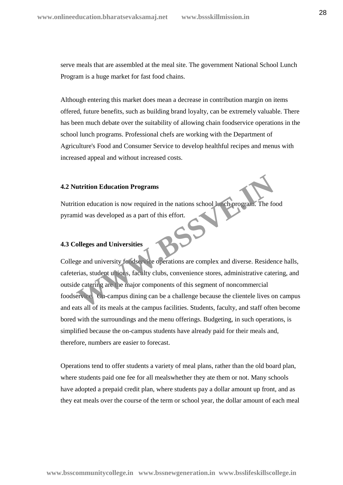serve meals that are assembled at the meal site. The government National School Lunch Program is a huge market for fast food chains.

Although entering this market does mean a decrease in contribution margin on items offered, future benefits, such as building brand loyalty, can be extremely valuable. There has been much debate over the suitability of allowing chain foodservice operations in the school lunch programs. Professional chefs are working with the Department of Agriculture's Food and Consumer Service to develop healthful recipes and menus with increased appeal and without increased costs.

## **4.2 Nutrition Education Programs**

Nutrition education is now required in the nations school lunch program. The food pyramid was developed as a part of this effort.

# **4.3 Colleges and Universities**

College and university foodservice operations are complex and diverse. Residence halls, cafeterias, student unions, faculty clubs, convenience stores, administrative catering, and outside catering are the major components of this segment of noncommercial foodservice. On-campus dining can be a challenge because the clientele lives on campus and eats all of its meals at the campus facilities. Students, faculty, and staff often become bored with the surroundings and the menu offerings. Budgeting, in such operations, is simplified because the on-campus students have already paid for their meals and, therefore, numbers are easier to forecast. **Unitain Education Programs**<br>
ion education is now required in the nations school length program. The fo<br>
id was developed as a part of this effort.<br> **Olleges and Universities**<br>
ge and university for dservice operations ar

Operations tend to offer students a variety of meal plans, rather than the old board plan, where students paid one fee for all mealswhether they ate them or not. Many schools have adopted a prepaid credit plan, where students pay a dollar amount up front, and as they eat meals over the course of the term or school year, the dollar amount of each meal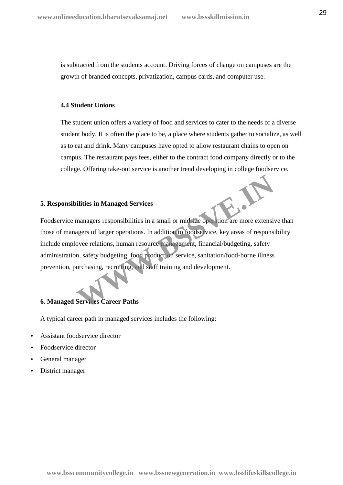is subtracted from the students account. Driving forces of change on campuses are the growth of branded concepts, privatization, campus cards, and computer use.

## **4.4 Student Unions**

The student union offers a variety of food and services to cater to the needs of a diverse student body. It is often the place to be, a place where students gather to socialize, as well as to eat and drink. Many campuses have opted to allow restaurant chains to open on campus. The restaurant pays fees, either to the contract food company directly or to the college. Offering take-out service is another trend developing in college foodservice.

## **5. Responsibilities in Managed Services**

Foodservice managers responsibilities in a small or midsize operation are more extensive than those of managers of larger operations. In addition to foodservice, key areas of responsibility include employee relations, human resource management, financial/budgeting, safety administration, safety budgeting, food production service, sanitation/food-borne illness prevention, purchasing, recruiting, and staff training and development. ilities in Managed Services<br>
managers responsibilities in a small or midsize operation are more extensive<br>
agers of larger operations. In addition to foodse vice, key areas of responsi<br>
oyee relations, human resource paint

# **6. Managed Services Career Paths**

A typical career path in managed services includes the following:

- Assistant foodservice director
- Foodservice director
- General manager
- District manager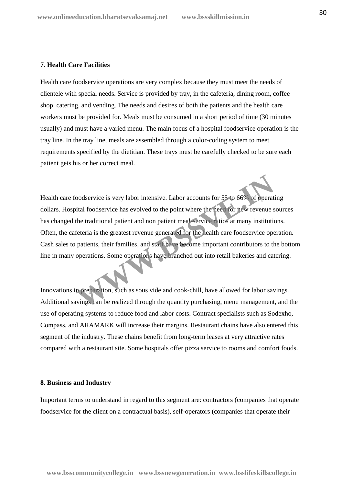## **7. Health Care Facilities**

Health care foodservice operations are very complex because they must meet the needs of clientele with special needs. Service is provided by tray, in the cafeteria, dining room, coffee shop, catering, and vending. The needs and desires of both the patients and the health care workers must be provided for. Meals must be consumed in a short period of time (30 minutes usually) and must have a varied menu. The main focus of a hospital foodservice operation is the tray line. In the tray line, meals are assembled through a color-coding system to meet requirements specified by the dietitian. These trays must be carefully checked to be sure each patient gets his or her correct meal.

Health care foodservice is very labor intensive. Labor accounts for 55 to 66% of operating dollars. Hospital foodservice has evolved to the point where the need for new revenue sources has changed the traditional patient and non patient meal-service ratios at many institutions. Often, the cafeteria is the greatest revenue generated for the health care foodservice operation. Cash sales to patients, their families, and staff have become important contributors to the bottom line in many operations. Some operations have branched out into retail bakeries and catering. boodservice is very labor intensive. Labor accounts for 55 to 66% of operat<br>tital foodservice has evolved to the point where the need for thew revenue s<br>the traditional patient and non patient meal-service atios at many in

Innovations in preparation, such as sous vide and cook-chill, have allowed for labor savings. Additional savings can be realized through the quantity purchasing, menu management, and the use of operating systems to reduce food and labor costs. Contract specialists such as Sodexho, Compass, and ARAMARK will increase their margins. Restaurant chains have also entered this segment of the industry. These chains benefit from long-term leases at very attractive rates compared with a restaurant site. Some hospitals offer pizza service to rooms and comfort foods.

## **8. Business and Industry**

Important terms to understand in regard to this segment are: contractors (companies that operate foodservice for the client on a contractual basis), self-operators (companies that operate their

**www.bsscommunitycollege.in www.bssnewgeneration.in www.bsslifeskillscollege.in**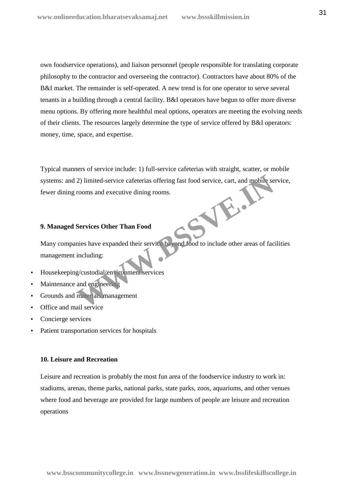own foodservice operations), and liaison personnel (people responsible for translating corporate philosophy to the contractor and overseeing the contractor). Contractors have about 80% of the B&I market. The remainder is self-operated. A new trend is for one operator to serve several tenants in a building through a central facility. B&I operators have begun to offer more diverse menu options. By offering more healthful meal options, operators are meeting the evolving needs of their clients. The resources largely determine the type of service offered by B&I operators: money, time, space, and expertise.

Typical manners of service include: 1) full-service cafeterias with straight, scatter, or mobile systems: and 2) limited-service cafeterias offering fast food service, cart, and mobile service, fewer dining rooms and executive dining rooms. WEB.J

## **9. Managed Services Other Than Food**

Many companies have expanded their service beyond food to include other areas of facilities management including:

- Housekeeping/custodial/environment services
- Maintenance and engineering
- Grounds and materials management
- Office and mail service
- Concierge services
- Patient transportation services for hospitals

#### **10. Leisure and Recreation**

Leisure and recreation is probably the most fun area of the foodservice industry to work in: stadiums, arenas, theme parks, national parks, state parks, zoos, aquariums, and other venues where food and beverage are provided for large numbers of people are leisure and recreation operations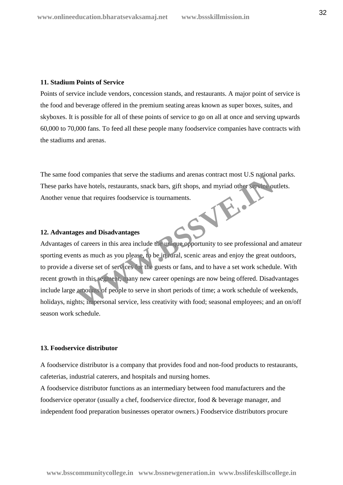## **11. Stadium Points of Service**

Points of service include vendors, concession stands, and restaurants. A major point of service is the food and beverage offered in the premium seating areas known as super boxes, suites, and skyboxes. It is possible for all of these points of service to go on all at once and serving upwards 60,000 to 70,000 fans. To feed all these people many foodservice companies have contracts with the stadiums and arenas.

The same food companies that serve the stadiums and arenas contract most U.S national parks. These parks have hotels, restaurants, snack bars, gift shops, and myriad other service outlets. Another venue that requires foodservice is tournaments. WWW.BSSV.

## **12. Advantages and Disadvantages**

Advantages of careers in this area include the unique opportunity to see professional and amateur sporting events as much as you please, to be in rural, scenic areas and enjoy the great outdoors, to provide a diverse set of services for the guests or fans, and to have a set work schedule. With recent growth in this segment, many new career openings are now being offered. Disadvantages include large amounts of people to serve in short periods of time; a work schedule of weekends, holidays, nights; impersonal service, less creativity with food; seasonal employees; and an on/off season work schedule.

## **13. Foodservice distributor**

A foodservice distributor is a company that provides food and non-food products to restaurants, cafeterias, industrial caterers, and hospitals and nursing homes.

A foodservice distributor functions as an intermediary between food manufacturers and the foodservice operator (usually a chef, foodservice director, food & beverage manager, and independent food preparation businesses operator owners.) Foodservice distributors procure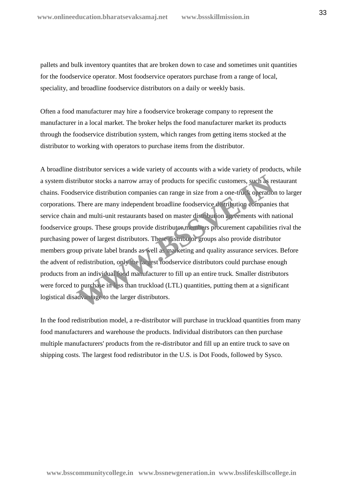pallets and bulk inventory quantites that are broken down to case and sometimes unit quantities for the foodservice operator. Most foodservice operators purchase from a range of local, speciality, and broadline foodservice distributors on a daily or weekly basis.

Often a food manufacturer may hire a foodservice brokerage company to represent the manufacturer in a local market. The broker helps the food manufacturer market its products through the foodservice distribution system, which ranges from getting items stocked at the distributor to working with operators to purchase items from the distributor.

A broadline distributor services a wide variety of accounts with a wide variety of products, while a system distributor stocks a narrow array of products for specific customers, such as restaurant chains. Foodservice distribution companies can range in size from a one-truck operation to larger corporations. There are many independent broadline foodservice distribution companies that service chain and multi-unit restaurants based on master distribution agreements with national foodservice groups. These groups provide distributor members procurement capabilities rival the purchasing power of largest distributors. These distributor groups also provide distributor members group private label brands as well as marketing and quality assurance services. Before the advent of redistribution, only the largest foodservice distributors could purchase enough products from an individual food manufacturer to fill up an entire truck. Smaller distributors were forced to purchase in less than truckload (LTL) quantities, putting them at a significant logistical disadvantage to the larger distributors. ributor stocks a narrow array of products for specific customers, such as reservice distribution companies can range in size from a one-truck operation. There are many independent broadline foodservice distribution compani

In the food redistribution model, a re-distributor will purchase in truckload quantities from many food manufacturers and warehouse the products. Individual distributors can then purchase multiple manufacturers' products from the re-distributor and fill up an entire truck to save on shipping costs. The largest food redistributor in the U.S. is Dot Foods, followed by Sysco.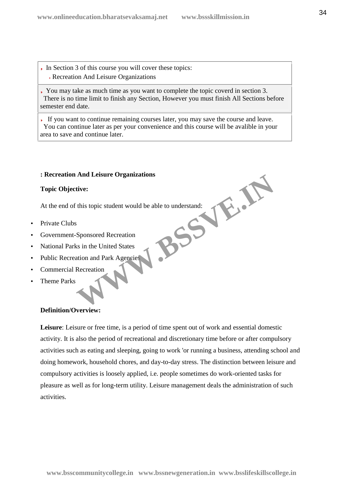In Section 3 of this course you will cover these topics:

# Recreation And Leisure Organizations

You may take as much time as you want to complete the topic coverd in section 3. There is no time limit to finish any Section, However you must finish All Sections before semester end date.

If you want to continue remaining courses later, you may save the course and leave. You can continue later as per your convenience and this course will be avalible in your area to save and continue later.

## **: Recreation And Leisure Organizations**

# **Topic Objective:**

At the end of this topic student would be able to understand: **WWW.BSSVE.IN**

- Private Clubs
- Government-Sponsored Recreation
- National Parks in the United States
- Public Recreation and Park Agencies
- Commercial Recreation
- Theme Parks

# **Definition/Overview:**

**Leisure**: Leisure or free time, is a period of time spent out of work and essential domestic activity. It is also the period of recreational and discretionary time before or after compulsory activities such as eating and sleeping, going to work 'or running a business, attending school and doing homework, household chores, and day-to-day stress. The distinction between leisure and compulsory activities is loosely applied, i.e. people sometimes do work-oriented tasks for pleasure as well as for long-term utility. Leisure management deals the administration of such activities.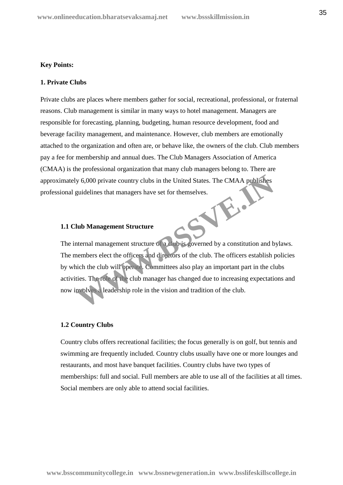## **Key Points:**

#### **1. Private Clubs**

Private clubs are places where members gather for social, recreational, professional, or fraternal reasons. Club management is similar in many ways to hotel management. Managers are responsible for forecasting, planning, budgeting, human resource development, food and beverage facility management, and maintenance. However, club members are emotionally attached to the organization and often are, or behave like, the owners of the club. Club members pay a fee for membership and annual dues. The Club Managers Association of America (CMAA) is the professional organization that many club managers belong to. There are approximately 6,000 private country clubs in the United States. The CMAA publishes professional guidelines that managers have set for themselves. WWW.BSS

## **1.1 Club Management Structure**

The internal management structure of a club is governed by a constitution and bylaws. The members elect the officers and directors of the club. The officers establish policies by which the club will operate. Committees also play an important part in the clubs activities. The role of the club manager has changed due to increasing expectations and now involves a leadership role in the vision and tradition of the club.

## **1.2 Country Clubs**

Country clubs offers recreational facilities; the focus generally is on golf, but tennis and swimming are frequently included. Country clubs usually have one or more lounges and restaurants, and most have banquet facilities. Country clubs have two types of memberships: full and social. Full members are able to use all of the facilities at all times. Social members are only able to attend social facilities.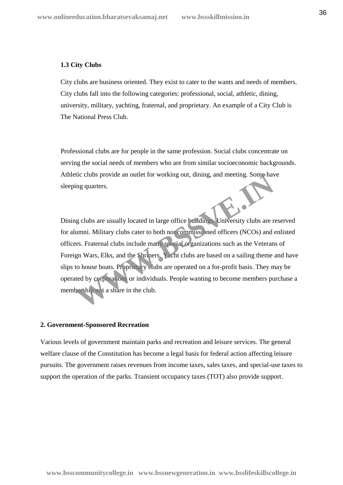## **1.3 City Clubs**

City clubs are business oriented. They exist to cater to the wants and needs of members. City clubs fall into the following categories: professional, social, athletic, dining, university, military, yachting, fraternal, and proprietary. An example of a City Club is The National Press Club.

Professional clubs are for people in the same profession. Social clubs concentrate on serving the social needs of members who are from similar socioeconomic backgrounds. Athletic clubs provide an outlet for working out, dining, and meeting. Some have sleeping quarters.

Dining clubs are usually located in large office buildings. University clubs are reserved for alumni. Military clubs cater to both noncommissioned officers (NCOs) and enlisted officers. Fraternal clubs include many special organizations such as the Veterans of Foreign Wars, Elks, and the Shriners. Yacht clubs are based on a sailing theme and have slips to house boats. Proprietary clubs are operated on a for-profit basis. They may be operated by corporations or individuals. People wanting to become members purchase a membership not a share in the club. and meeting. Some having out a share in outer for working out, uning, and meeting. Some having quarters.<br>
In a meeting quarters.<br>
When the same of the state of the building. University clubs are numni. Military clubs cater

## **2. Government-Sponsored Recreation**

Various levels of government maintain parks and recreation and leisure services. The general welfare clause of the Constitution has become a legal basis for federal action affecting leisure pursuits. The government raises revenues from income taxes, sales taxes, and special-use taxes to support the operation of the parks. Transient occupancy taxes (TOT) also provide support.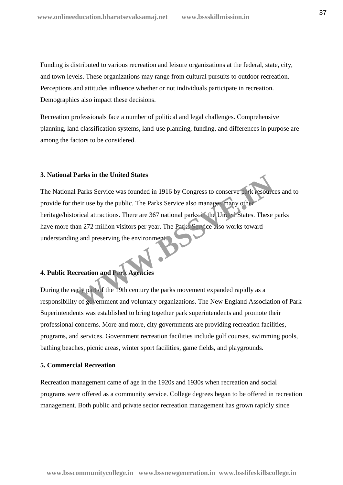Funding is distributed to various recreation and leisure organizations at the federal, state, city, and town levels. These organizations may range from cultural pursuits to outdoor recreation. Perceptions and attitudes influence whether or not individuals participate in recreation. Demographics also impact these decisions.

Recreation professionals face a number of political and legal challenges. Comprehensive planning, land classification systems, land-use planning, funding, and differences in purpose are among the factors to be considered.

## **3. National Parks in the United States**

The National Parks Service was founded in 1916 by Congress to conserve park resources and to provide for their use by the public. The Parks Service also manages many other heritage/historical attractions. There are 367 national parks in the United States. These parks have more than 272 million visitors per year. The Parks Service also works toward understanding and preserving the environment. Parks Service was founded in 1916 by Congress to conserve park resource<br>
Parks Service was founded in 1916 by Congress to conserve park resource<br>
Direct also manages many other<br>
Direct also works are parks in the United St

# **4. Public Recreation and Park Agencies**

During the early part of the 19th century the parks movement expanded rapidly as a responsibility of government and voluntary organizations. The New England Association of Park Superintendents was established to bring together park superintendents and promote their professional concerns. More and more, city governments are providing recreation facilities, programs, and services. Government recreation facilities include golf courses, swimming pools, bathing beaches, picnic areas, winter sport facilities, game fields, and playgrounds.

## **5. Commercial Recreation**

Recreation management came of age in the 1920s and 1930s when recreation and social programs were offered as a community service. College degrees began to be offered in recreation management. Both public and private sector recreation management has grown rapidly since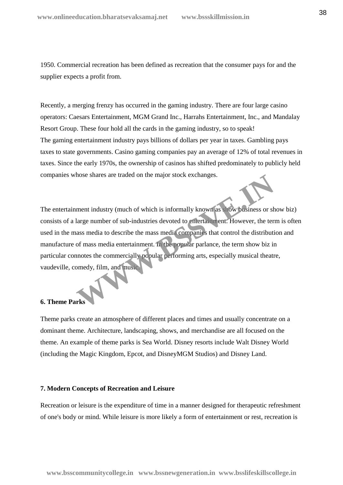1950. Commercial recreation has been defined as recreation that the consumer pays for and the supplier expects a profit from.

Recently, a merging frenzy has occurred in the gaming industry. There are four large casino operators: Caesars Entertainment, MGM Grand Inc., Harrahs Entertainment, Inc., and Mandalay Resort Group. These four hold all the cards in the gaming industry, so to speak! The gaming entertainment industry pays billions of dollars per year in taxes. Gambling pays taxes to state governments. Casino gaming companies pay an average of 12% of total revenues in taxes. Since the early 1970s, the ownership of casinos has shifted predominately to publicly held companies whose shares are traded on the major stock exchanges.

The entertainment industry (much of which is informally known as show business or show biz) consists of a large number of sub-industries devoted to entertainment. However, the term is often used in the mass media to describe the mass media companies that control the distribution and manufacture of mass media entertainment. In the popular parlance, the term show biz in particular connotes the commercially popular performing arts, especially musical theatre, vaudeville, comedy, film, and music. ment industry (much of which is informally known as Now business or share number of sub-industries devoted to entertainment. However, the term ass media to describe the mass media companies that control the distribution of

## **6. Theme Parks**

Theme parks create an atmosphere of different places and times and usually concentrate on a dominant theme. Architecture, landscaping, shows, and merchandise are all focused on the theme. An example of theme parks is Sea World. Disney resorts include Walt Disney World (including the Magic Kingdom, Epcot, and DisneyMGM Studios) and Disney Land.

## **7. Modern Concepts of Recreation and Leisure**

Recreation or leisure is the expenditure of time in a manner designed for therapeutic refreshment of one's body or mind. While leisure is more likely a form of entertainment or rest, recreation is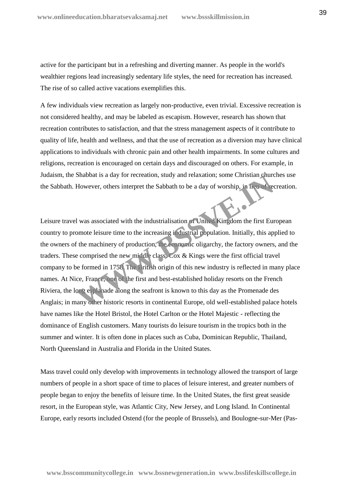active for the participant but in a refreshing and diverting manner. As people in the world's wealthier regions lead increasingly sedentary life styles, the need for recreation has increased. The rise of so called active vacations exemplifies this.

A few individuals view recreation as largely non-productive, even trivial. Excessive recreation is not considered healthy, and may be labeled as escapism. However, research has shown that recreation contributes to satisfaction, and that the stress management aspects of it contribute to quality of life, health and wellness, and that the use of recreation as a diversion may have clinical applications to individuals with chronic pain and other health impairments. In some cultures and religions, recreation is encouraged on certain days and discouraged on others. For example, in Judaism, the Shabbat is a day for recreation, study and relaxation; some Christian churches use the Sabbath. However, others interpret the Sabbath to be a day of worship, in lieu of recreation.

Leisure travel was associated with the industrialisation of United Kingdom the first European country to promote leisure time to the increasing industrial population. Initially, this applied to the owners of the machinery of production, the economic oligarchy, the factory owners, and the traders. These comprised the new middle class. Cox & Kings were the first official travel company to be formed in 1758. The British origin of this new industry is reflected in many place names. At Nice, France, one of the first and best-established holiday resorts on the French Riviera, the long esplanade along the seafront is known to this day as the Promenade des Anglais; in many other historic resorts in continental Europe, old well-established palace hotels have names like the Hotel Bristol, the Hotel Carlton or the Hotel Majestic - reflecting the dominance of English customers. Many tourists do leisure tourism in the tropics both in the summer and winter. It is often done in places such as Cuba, Dominican Republic, Thailand, North Queensland in Australia and Florida in the United States. Shabbat is a day for recreation, study and relaxation; some Christian churce<br>However, others interpret the Sabbath to be a day of worship, in figure of recent<br>all was associated with the industrialisation of United Kingdom

Mass travel could only develop with improvements in technology allowed the transport of large numbers of people in a short space of time to places of leisure interest, and greater numbers of people began to enjoy the benefits of leisure time. In the United States, the first great seaside resort, in the European style, was Atlantic City, New Jersey, and Long Island. In Continental Europe, early resorts included Ostend (for the people of Brussels), and Boulogne-sur-Mer (Pas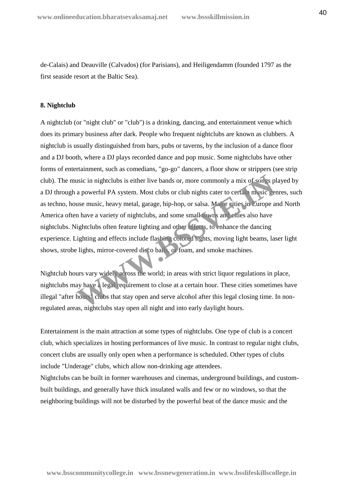de-Calais) and Deauville (Calvados) (for Parisians), and Heiligendamm (founded 1797 as the first seaside resort at the Baltic Sea).

## **8. Nightclub**

A nightclub (or "night club" or "club") is a drinking, dancing, and entertainment venue which does its primary business after dark. People who frequent nightclubs are known as clubbers. A nightclub is usually distinguished from bars, pubs or taverns, by the inclusion of a dance floor and a DJ booth, where a DJ plays recorded dance and pop music. Some nightclubs have other forms of entertainment, such as comedians, "go-go" dancers, a floor show or strippers (see strip club). The music in nightclubs is either live bands or, more commonly a mix of songs played by a DJ through a powerful PA system. Most clubs or club nights cater to certain music genres, such as techno, house music, heavy metal, garage, hip-hop, or salsa. Major cities in Europe and North America often have a variety of nightclubs, and some small towns and cities also have nightclubs. Nightclubs often feature lighting and other effects, to enhance the dancing experience. Lighting and effects include flashing colored lights, moving light beams, laser light shows, strobe lights, mirror-covered disco balls, or foam, and smoke machines. usic in nightclubs is either live bands or, more commonly a mix of songs p<br>a powerful PA system. Most clubs or club nights cater to certain music ge<br>use music, heavy metal, garage, hip-hop, or salsa. Major cities in Europe

Nightclub hours vary widely across the world; in areas with strict liquor regulations in place, nightclubs may have a legal requirement to close at a certain hour. These cities sometimes have illegal "after hours" clubs that stay open and serve alcohol after this legal closing time. In nonregulated areas, nightclubs stay open all night and into early daylight hours.

Entertainment is the main attraction at some types of nightclubs. One type of club is a concert club, which specializes in hosting performances of live music. In contrast to regular night clubs, concert clubs are usually only open when a performance is scheduled. Other types of clubs include "Underage" clubs, which allow non-drinking age attendees.

Nightclubs can be built in former warehouses and cinemas, underground buildings, and custom built buildings, and generally have thick insulated walls and few or no windows, so that the neighboring buildings will not be disturbed by the powerful beat of the dance music and the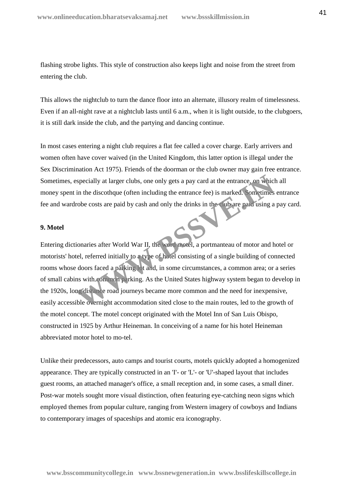flashing strobe lights. This style of construction also keeps light and noise from the street from entering the club.

This allows the nightclub to turn the dance floor into an alternate, illusory realm of timelessness. Even if an all-night rave at a nightclub lasts until 6 a.m., when it is light outside, to the clubgoers, it is still dark inside the club, and the partying and dancing continue.

In most cases entering a night club requires a flat fee called a cover charge. Early arrivers and women often have cover waived (in the United Kingdom, this latter option is illegal under the Sex Discrimination Act 1975). Friends of the doorman or the club owner may gain free entrance. Sometimes, especially at larger clubs, one only gets a pay card at the entrance, on which all money spent in the discothque (often including the entrance fee) is marked. Sometimes entrance fee and wardrobe costs are paid by cash and only the drinks in the club are paid using a pay card.

## **9. Motel**

Entering dictionaries after World War II, the word motel, a portmanteau of motor and hotel or motorists' hotel, referred initially to a type of hotel consisting of a single building of connected rooms whose doors faced a parking lot and, in some circumstances, a common area; or a series of small cabins with common parking. As the United States highway system began to develop in the 1920s, long distance road journeys became more common and the need for inexpensive, easily accessible overnight accommodation sited close to the main routes, led to the growth of the motel concept. The motel concept originated with the Motel Inn of San Luis Obispo, constructed in 1925 by Arthur Heineman. In conceiving of a name for his hotel Heineman abbreviated motor hotel to mo-tel. Expecially at larger clubs, one only gets a pay card at the entrance, on which<br>in the discothque (often including the entrance fee) is marked. Sometimes<br>robe costs are paid by cash and only the drinks in the Cult are paid

Unlike their predecessors, auto camps and tourist courts, motels quickly adopted a homogenized appearance. They are typically constructed in an 'I'- or 'L'- or 'U'-shaped layout that includes guest rooms, an attached manager's office, a small reception and, in some cases, a small diner. Post-war motels sought more visual distinction, often featuring eye-catching neon signs which employed themes from popular culture, ranging from Western imagery of cowboys and Indians to contemporary images of spaceships and atomic era iconography.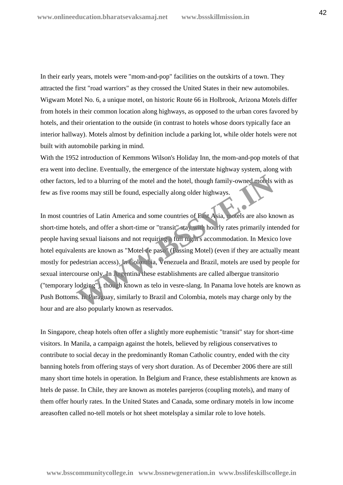In their early years, motels were "mom-and-pop" facilities on the outskirts of a town. They attracted the first "road warriors" as they crossed the United States in their new automobiles. Wigwam Motel No. 6, a unique motel, on historic Route 66 in Holbrook, Arizona Motels differ from hotels in their common location along highways, as opposed to the urban cores favored by hotels, and their orientation to the outside (in contrast to hotels whose doors typically face an interior hallway). Motels almost by definition include a parking lot, while older hotels were not built with automobile parking in mind.

With the 1952 introduction of Kemmons Wilson's Holiday Inn, the mom-and-pop motels of that era went into decline. Eventually, the emergence of the interstate highway system, along with other factors, led to a blurring of the motel and the hotel, though family-owned motels with as few as five rooms may still be found, especially along older highways.

In most countries of Latin America and some countries of East Asia, motels are also known as short-time hotels, and offer a short-time or "transit" stay with hourly rates primarily intended for people having sexual liaisons and not requiring a full night's accommodation. In Mexico love hotel equivalents are known as "Motel de paso" (Passing Motel) (even if they are actually meant mostly for pedestrian access). In Colombia, Venezuela and Brazil, motels are used by people for sexual intercourse only. In Argentina these establishments are called albergue transitorio ("temporary lodging"), though known as telo in vesre-slang. In Panama love hotels are known as Push Bottoms. In Paraguay, similarly to Brazil and Colombia, motels may charge only by the hour and are also popularly known as reservados. led to a blurring of the motel and the hotel, though family-owned motels<br>noms may still be found, especially along older highways.<br>tries of Latin America and some countries of East Asia, motels are also kn<br>tels, and offer

In Singapore, cheap hotels often offer a slightly more euphemistic "transit" stay for short-time visitors. In Manila, a campaign against the hotels, believed by religious conservatives to contribute to social decay in the predominantly Roman Catholic country, ended with the city banning hotels from offering stays of very short duration. As of December 2006 there are still many short time hotels in operation. In Belgium and France, these establishments are known as htels de passe. In Chile, they are known as moteles parejeros (coupling motels), and many of them offer hourly rates. In the United States and Canada, some ordinary motels in low income areasoften called no-tell motels or hot sheet motelsplay a similar role to love hotels.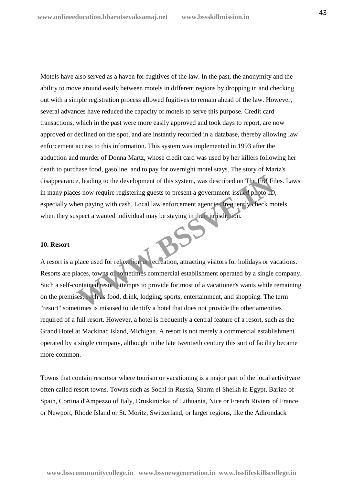Motels have also served as a haven for fugitives of the law. In the past, the anonymity and the ability to move around easily between motels in different regions by dropping in and checking out with a simple registration process allowed fugitives to remain ahead of the law. However, several advances have reduced the capacity of motels to serve this purpose. Credit card transactions, which in the past were more easily approved and took days to report, are now approved or declined on the spot, and are instantly recorded in a database, thereby allowing law enforcement access to this information. This system was implemented in 1993 after the abduction and murder of Donna Martz, whose credit card was used by her killers following her death to purchase food, gasoline, and to pay for overnight motel stays. The story of Martz's disappearance, leading to the development of this system, was described on The FBI Files. Laws in many places now require registering guests to present a government-issued photo ID, especially when paying with cash. Local law enforcement agencies frequently check motels when they suspect a wanted individual may be staying in their jurisdiction.

## **10. Resort**

A resort is a place used for relaxation or recreation, attracting visitors for holidays or vacations. Resorts are places, towns or sometimes commercial establishment operated by a single company. Such a self-contained resort attempts to provide for most of a vacationer's wants while remaining on the premises, such as food, drink, lodging, sports, entertainment, and shopping. The term "resort" sometimes is misused to identify a hotel that does not provide the other amenities required of a full resort. However, a hotel is frequently a central feature of a resort, such as the Grand Hotel at Mackinac Island, Michigan. A resort is not merely a commercial establishment operated by a single company, although in the late twentieth century this sort of facility became more common. Example to the development of this system, was described on The FBI Fi<br>
Example in the development of this system, was described on The FBI Fi<br>
Second the paying with cash. Local law enforcement agencies, requently check m

Towns that contain resortsor where tourism or vacationing is a major part of the local activityare often called resort towns. Towns such as Sochi in Russia, Sharm el Sheikh in Egypt, Barizo of Spain, Cortina d'Ampezzo of Italy, Druskininkai of Lithuania, Nice or French Riviera of France or Newport, Rhode Island or St. Moritz, Switzerland, or larger regions, like the Adirondack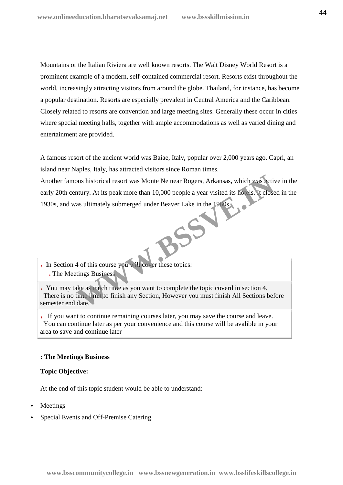Mountains or the Italian Riviera are well known resorts. The Walt Disney World Resort is a prominent example of a modern, self-contained commercial resort. Resorts exist throughout the world, increasingly attracting visitors from around the globe. Thailand, for instance, has become a popular destination. Resorts are especially prevalent in Central America and the Caribbean. Closely related to resorts are convention and large meeting sites. Generally these occur in cities where special meeting halls, together with ample accommodations as well as varied dining and entertainment are provided.

A famous resort of the ancient world was Baiae, Italy, popular over 2,000 years ago. Capri, an island near Naples, Italy, has attracted visitors since Roman times.

Another famous historical resort was Monte Ne near Rogers, Arkansas, which was active in the early 20th century. At its peak more than 10,000 people a year visited its hotels. It closed in the 1930s, and was ultimately submerged under Beaver Lake in the 1960s. bus historical resort was Monte Ne near Rogers, Arkansas, which was activentury. At its peak more than 10,000 people a year visited its hot sist. It close as ultimately submerged under Beaver Lake in the 1908<br>as ultimately

- In Section 4 of this course you will cover these topics:
	- The Meetings Business

You may take as much time as you want to complete the topic coverd in section 4. There is no time limit to finish any Section, However you must finish All Sections before semester end date.

If you want to continue remaining courses later, you may save the course and leave. You can continue later as per your convenience and this course will be avalible in your area to save and continue later

## **: The Meetings Business**

## **Topic Objective:**

At the end of this topic student would be able to understand:

- Meetings
- Special Events and Off-Premise Catering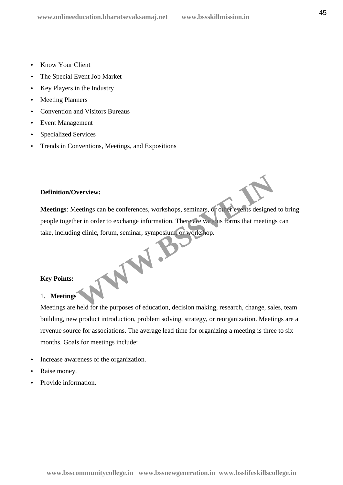- Know Your Client
- The Special Event Job Market
- Key Players in the Industry
- Meeting Planners
- Convention and Visitors Bureaus
- Event Management
- Specialized Services
- Trends in Conventions, Meetings, and Expositions

## **Definition/Overview:**

**Meetings**: Meetings can be conferences, workshops, seminars, or other events designed to bring people together in order to exchange information. There are various forms that meetings can take, including clinic, forum, seminar, symposium, or workshop. WW.BS

## **Key Points:**

# 1. **Meetings**

Meetings are held for the purposes of education, decision making, research, change, sales, team building, new product introduction, problem solving, strategy, or reorganization. Meetings are a revenue source for associations. The average lead time for organizing a meeting is three to six months. Goals for meetings include:

- Increase awareness of the organization.
- Raise money.
- Provide information.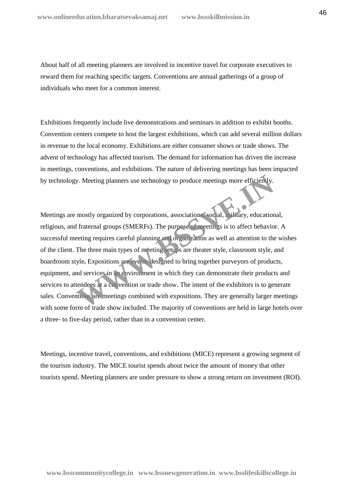About half of all meeting planners are involved in incentive travel for corporate executives to reward them for reaching specific targets. Conventions are annual gatherings of a group of individuals who meet for a common interest.

Exhibitions frequently include live demonstrations and seminars in addition to exhibit booths. Convention centers compete to host the largest exhibitions, which can add several million dollars in revenue to the local economy. Exhibitions are either consumer shows or trade shows. The advent of technology has affected tourism. The demand for information has driven the increase in meetings, conventions, and exhibitions. The nature of delivering meetings has been impacted by technology. Meeting planners use technology to produce meetings more efficiently.

Meetings are mostly organized by corporations, associations, social, military, educational, religious, and fraternal groups (SMERFs). The purpose of meetings is to affect behavior. A successful meeting requires careful planning and organization as well as attention to the wishes of the client. The three main types of meeting setups are theater style, classroom style, and boardroom style**.** Expositions are events designed to bring together purveyors of products, equipment, and services in an environment in which they can demonstrate their products and services to attendees at a convention or trade show. The intent of the exhibitors is to generate sales. Conventions are meetings combined with expositions. They are generally larger meetings with some form of trade show included. The majority of conventions are held in large hotels over a three- to five-day period, rather than in a convention center. W. Meeting planners use technology to produce meetings more efficiently.<br>
mostly organized by corporations, associations, social, withary, education<br>
f fraternal groups (SMERFs). The purpose of meetings is to affect behavi

Meetings, incentive travel, conventions, and exhibitions (MICE) represent a growing segment of the tourism industry. The MICE tourist spends about twice the amount of money that other tourists spend. Meeting planners are under pressure to show a strong return on investment (ROI).

**www.bsscommunitycollege.in www.bssnewgeneration.in www.bsslifeskillscollege.in**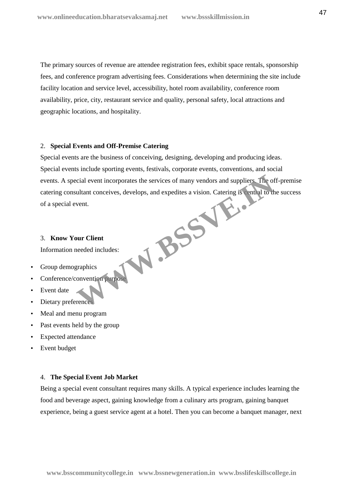The primary sources of revenue are attendee registration fees, exhibit space rentals, sponsorship fees, and conference program advertising fees. Considerations when determining the site include facility location and service level, accessibility, hotel room availability, conference room availability, price, city, restaurant service and quality, personal safety, local attractions and geographic locations, and hospitality.

## 2. **Special Events and Off-Premise Catering**

Special events are the business of conceiving, designing, developing and producing ideas. Special events include sporting events, festivals, corporate events, conventions, and social events. A special event incorporates the services of many vendors and suppliers. The off-premise catering consultant conceives, develops, and expedites a vision. Catering is central to the success of a special event. WWW.BSSVE.

## 3. **Know Your Client**

Information needed includes:

- Group demographics
- Conference/convention purpos
- Event date
- Dietary preferences
- Meal and menu program
- Past events held by the group
- Expected attendance
- Event budget

## 4. **The Special Event Job Market**

Being a special event consultant requires many skills. A typical experience includes learning the food and beverage aspect, gaining knowledge from a culinary arts program, gaining banquet experience, being a guest service agent at a hotel. Then you can become a banquet manager, next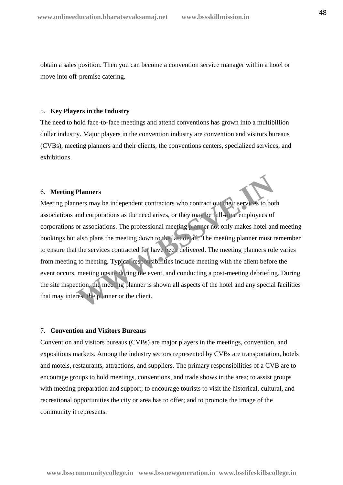obtain a sales position. Then you can become a convention service manager within a hotel or move into off-premise catering.

## 5. **Key Players in the Industry**

The need to hold face-to-face meetings and attend conventions has grown into a multibillion dollar industry. Major players in the convention industry are convention and visitors bureaus (CVBs), meeting planners and their clients, the conventions centers, specialized services, and exhibitions.

## 6. **Meeting Planners**

Meeting planners may be independent contractors who contract out their services to both associations and corporations as the need arises, or they may be full-time employees of corporations or associations. The professional meeting planner not only makes hotel and meeting bookings but also plans the meeting down to the last detail. The meeting planner must remember to ensure that the services contracted for have been delivered. The meeting planners role varies from meeting to meeting. Typical responsibilities include meeting with the client before the event occurs, meeting onsite during the event, and conducting a post-meeting debriefing. During the site inspection, the meeting planner is shown all aspects of the hotel and any special facilities that may interest the planner or the client. **Planners**<br>ners may be independent contractors who contract out their services to bot<br>and corporations as the need arises, or they may be full-t incemployees of<br>or associations. The professional meeting planner not only ma

## 7. **Convention and Visitors Bureaus**

Convention and visitors bureaus (CVBs) are major players in the meetings, convention, and expositions markets. Among the industry sectors represented by CVBs are transportation, hotels and motels, restaurants, attractions, and suppliers. The primary responsibilities of a CVB are to encourage groups to hold meetings, conventions, and trade shows in the area; to assist groups with meeting preparation and support; to encourage tourists to visit the historical, cultural, and recreational opportunities the city or area has to offer; and to promote the image of the community it represents.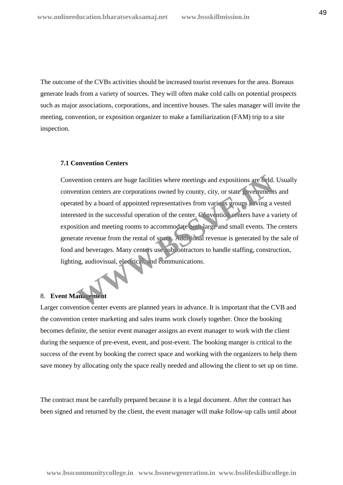The outcome of the CVBs activities should be increased tourist revenues for the area. Bureaus generate leads from a variety of sources. They will often make cold calls on potential prospects such as major associations, corporations, and incentive houses. The sales manager will invite the meeting, convention, or exposition organizer to make a familiarization (FAM) trip to a site inspection.

## **7.1 Convention Centers**

Convention centers are huge facilities where meetings and expositions are held. Usually convention centers are corporations owned by county, city, or state governments and operated by a board of appointed representatives from various groups having a vested interested in the successful operation of the center. Convention centers have a variety of exposition and meeting rooms to accommodate both large and small events. The centers generate revenue from the rental of space. Additional revenue is generated by the sale of food and beverages. Many centers use subcontractors to handle staffing, construction, lighting, audiovisual, electrical, and communications. ention centers are huge facilities where meetings and expositions are held.<br>
Intion centers are corporations owned by county, city, or state governments<br>
ted by a board of appointed representatives from various proups havi

## 8. **Event Management**

Larger convention center events are planned years in advance. It is important that the CVB and the convention center marketing and sales teams work closely together. Once the booking becomes definite, the senior event manager assigns an event manager to work with the client during the sequence of pre-event, event, and post-event. The booking manger is critical to the success of the event by booking the correct space and working with the organizers to help them save money by allocating only the space really needed and allowing the client to set up on time.

The contract must be carefully prepared because it is a legal document. After the contract has been signed and returned by the client, the event manager will make follow-up calls until about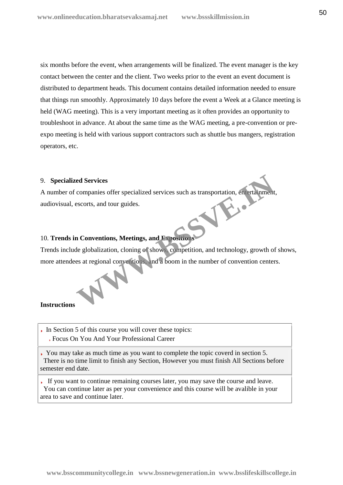six months before the event, when arrangements will be finalized. The event manager is the key contact between the center and the client. Two weeks prior to the event an event document is distributed to department heads. This document contains detailed information needed to ensure that things run smoothly. Approximately 10 days before the event a Week at a Glance meeting is held (WAG meeting). This is a very important meeting as it often provides an opportunity to troubleshoot in advance. At about the same time as the WAG meeting, a pre-convention or pre expo meeting is held with various support contractors such as shuttle bus mangers, registration operators, etc.

## 9. **Specialized Services**

A number of companies offer specialized services such as transportation, entertainment, audiovisual, escorts, and tour guides. Exercises<br>
Exercises companies offer specialized services such as transportation, entertainment<br>
Seconds, and tour guides.<br> **Conventions, Meetings, and Expositions**<br>
He globalization, cloning or shows competition, and tech

# 10. **Trends in Conventions, Meetings, and Exposition**

Trends include globalization, cloning of shows, competition, and technology, growth of shows, more attendees at regional conventions, and a boom in the number of convention centers.

## **Instructions**

In Section 5 of this course you will cover these topics:

Focus On You And Your Professional Career

You may take as much time as you want to complete the topic coverd in section 5. There is no time limit to finish any Section, However you must finish All Sections before semester end date.

If you want to continue remaining courses later, you may save the course and leave. You can continue later as per your convenience and this course will be avalible in your area to save and continue later.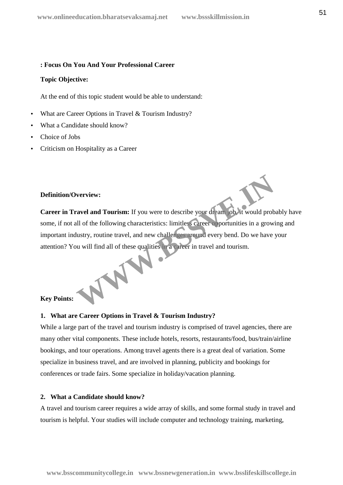#### **: Focus On You And Your Professional Career**

#### **Topic Objective:**

At the end of this topic student would be able to understand:

- What are Career Options in Travel & Tourism Industry?
- What a Candidate should know?
- Choice of Jobs
- Criticism on Hospitality as a Career

## **Definition/Overview:**

**Career in Travel and Tourism:** If you were to describe your dream job, it would probably have some, if not all of the following characteristics: limitless career opportunities in a growing and important industry, routine travel, and new challenges around every bend. Do we have your attention? You will find all of these qualities in a career in travel and tourism. **Example 31 and Tourism:** If you were to describe your dram, job, it would probe ill of the following characteristics: limitless career opportunities in a grow that the following characteristics: limitless career opportuni

# **Key Points:**

#### **1. What are Career Options in Travel & Tourism Industry?**

While a large part of the travel and tourism industry is comprised of travel agencies, there are many other vital components. These include hotels, resorts, restaurants/food, bus/train/airline bookings, and tour operations. Among travel agents there is a great deal of variation. Some specialize in business travel, and are involved in planning, publicity and bookings for conferences or trade fairs. Some specialize in holiday/vacation planning.

#### **2. What a Candidate should know?**

A travel and tourism career requires a wide array of skills, and some formal study in travel and tourism is helpful. Your studies will include computer and technology training, marketing,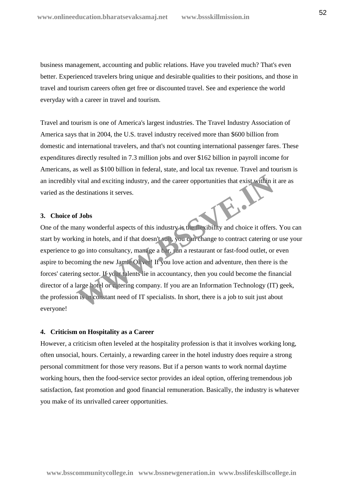business management, accounting and public relations. Have you traveled much? That's even better. Experienced travelers bring unique and desirable qualities to their positions, and those in travel and tourism careers often get free or discounted travel. See and experience the world everyday with a career in travel and tourism.

Travel and tourism is one of America's largest industries. The Travel Industry Association of America says that in 2004, the U.S. travel industry received more than \$600 billion from domestic and international travelers, and that's not counting international passenger fares. These expenditures directly resulted in 7.3 million jobs and over \$162 billion in payroll income for Americans, as well as \$100 billion in federal, state, and local tax revenue. Travel and tourism is an incredibly vital and exciting industry, and the career opportunities that exist within it are as varied as the destinations it serves.

## **3. Choice of Jobs**

One of the many wonderful aspects of this industry is the flexibility and choice it offers. You can start by working in hotels, and if that doesn't suit, you can change to contract catering or use your experience to go into consultancy, manage a bar, run a restaurant or fast-food outlet, or even aspire to becoming the new Jamie Oliver! If you love action and adventure, then there is the forces' catering sector. If your talents lie in accountancy, then you could become the financial director of a large hotel or catering company. If you are an Information Technology (IT) geek, the profession is in constant need of IT specialists. In short, there is a job to suit just about everyone! vital and exciting industry, and the career opportunities that exist within is<br>destinations it serves.<br>**f Jobs**<br>any wonderful aspects of this industry is the Texibility and choice it offers<br>ing in hotels, and if that doesn

## **4. Criticism on Hospitality as a Career**

However, a criticism often leveled at the hospitality profession is that it involves working long, often unsocial, hours. Certainly, a rewarding career in the hotel industry does require a strong personal commitment for those very reasons. But if a person wants to work normal daytime working hours, then the food-service sector provides an ideal option, offering tremendous job satisfaction, fast promotion and good financial remuneration. Basically, the industry is whatever you make of its unrivalled career opportunities.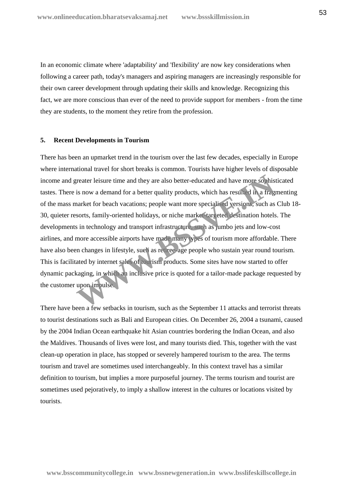In an economic climate where 'adaptability' and 'flexibility' are now key considerations when following a career path, today's managers and aspiring managers are increasingly responsible for their own career development through updating their skills and knowledge. Recognizing this fact, we are more conscious than ever of the need to provide support for members - from the time they are students, to the moment they retire from the profession.

#### **5. Recent Developments in Tourism**

There has been an upmarket trend in the tourism over the last few decades, especially in Europe where international travel for short breaks is common. Tourists have higher levels of disposable income and greater leisure time and they are also better-educated and have more sophisticated tastes. There is now a demand for a better quality products, which has resulted in a fragmenting of the mass market for beach vacations; people want more specialised versions, such as Club 18- 30, quieter resorts, family-oriented holidays, or niche market-targeted destination hotels. The developments in technology and transport infrastructure, such as jumbo jets and low-cost airlines, and more accessible airports have made many types of tourism more affordable. There have also been changes in lifestyle, such as retiree-age people who sustain year round tourism. This is facilitated by internet sales of tourism products. Some sites have now started to offer dynamic packaging, in which an inclusive price is quoted for a tailor-made package requested by the customer upon impulse. Freater leisure time and they are also better-educated and have more sophis<br>is now a demand for a better quality products, which has resulted in a frag<br>araket for beach vacations; people want more specialised versions, suc

There have been a few setbacks in tourism, such as the September 11 attacks and terrorist threats to tourist destinations such as Bali and European cities. On December 26, 2004 a tsunami, caused by the 2004 Indian Ocean earthquake hit Asian countries bordering the Indian Ocean, and also the Maldives. Thousands of lives were lost, and many tourists died. This, together with the vast clean-up operation in place, has stopped or severely hampered tourism to the area. The terms tourism and travel are sometimes used interchangeably. In this context travel has a similar definition to tourism, but implies a more purposeful journey. The terms tourism and tourist are sometimes used pejoratively, to imply a shallow interest in the cultures or locations visited by tourists.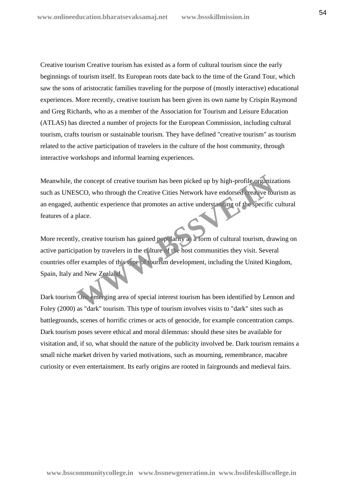Creative tourism Creative tourism has existed as a form of cultural tourism since the early beginnings of tourism itself. Its European roots date back to the time of the Grand Tour, which saw the sons of aristocratic families traveling for the purpose of (mostly interactive) educational experiences. More recently, creative tourism has been given its own name by Crispin Raymond and Greg Richards, who as a member of the Association for Tourism and Leisure Education (ATLAS) has directed a number of projects for the European Commission, including cultural tourism, crafts tourism or sustainable tourism. They have defined "creative tourism" as tourism related to the active participation of travelers in the culture of the host community, through interactive workshops and informal learning experiences.

Meanwhile, the concept of creative tourism has been picked up by high-profile organizations such as UNESCO, who through the Creative Cities Network have endorsed creative tourism as an engaged, authentic experience that promotes an active understanding of the specific cultural features of a place. the concept of creative tourism has been picked up by high-profile organiza<br>
SCO, who through the Creative Cities Network have endorsed creative tout<br>
nuthentic experience that promotes an active understanding of the speci

More recently, creative tourism has gained popularity as a form of cultural tourism, drawing on active participation by travelers in the culture of the host communities they visit. Several countries offer examples of this type of tourism development, including the United Kingdom, Spain, Italy and New Zealand.

Dark tourism One emerging area of special interest tourism has been identified by Lennon and Foley (2000) as "dark" tourism. This type of tourism involves visits to "dark" sites such as battlegrounds, scenes of horrific crimes or acts of genocide, for example concentration camps. Dark tourism poses severe ethical and moral dilemmas: should these sites be available for visitation and, if so, what should the nature of the publicity involved be. Dark tourism remains a small niche market driven by varied motivations, such as mourning, remembrance, macabre curiosity or even entertainment. Its early origins are rooted in fairgrounds and medieval fairs.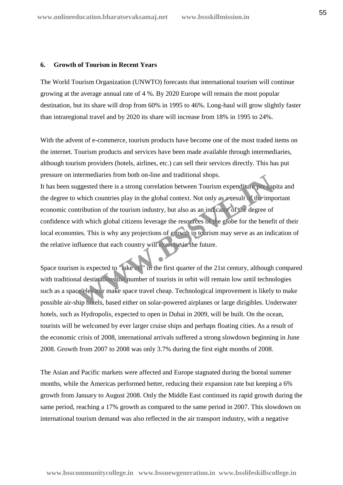## **6. Growth of Tourism in Recent Years**

The World Tourism Organization (UNWTO) forecasts that international tourism will continue growing at the average annual rate of 4 %. By 2020 Europe will remain the most popular destination, but its share will drop from 60% in 1995 to 46%. Long-haul will grow slightly faster than intraregional travel and by 2020 its share will increase from 18% in 1995 to 24%.

With the advent of e-commerce, tourism products have become one of the most traded items on the internet. Tourism products and services have been made available through intermediaries, although tourism providers (hotels, airlines, etc.) can sell their services directly. This has put pressure on intermediaries from both on-line and traditional shops. It has been suggested there is a strong correlation between Tourism expenditure per capita and the degree to which countries play in the global context. Not only as a result of the important economic contribution of the tourism industry, but also as an indicator of the degree of confidence with which global citizens leverage the resources of the globe for the benefit of their local economies. This is why any projections of growth in tourism may serve as an indication of the relative influence that each country will exercise in the future. itermediaties from both on-line and traditional shops.<br>
uggested there is a strong correlation between Tourism expenditure per eap<br>
which countries play in the global context. Not only as a result of the imper<br>
untribution

Space tourism is expected to "take off" in the first quarter of the 21st century, although compared with traditional destinations the number of tourists in orbit will remain low until technologies such as a space elevator make space travel cheap. Technological improvement is likely to make possible air-ship hotels, based either on solar-powered airplanes or large dirigibles. Underwater hotels, such as Hydropolis, expected to open in Dubai in 2009, will be built. On the ocean, tourists will be welcomed by ever larger cruise ships and perhaps floating cities. As a result of the economic crisis of 2008, international arrivals suffered a strong slowdown beginning in June 2008. Growth from 2007 to 2008 was only 3.7% during the first eight months of 2008.

The Asian and Pacific markets were affected and Europe stagnated during the boreal summer months, while the Americas performed better, reducing their expansion rate but keeping a 6% growth from January to August 2008. Only the Middle East continued its rapid growth during the same period, reaching a 17% growth as compared to the same period in 2007. This slowdown on international tourism demand was also reflected in the air transport industry, with a negative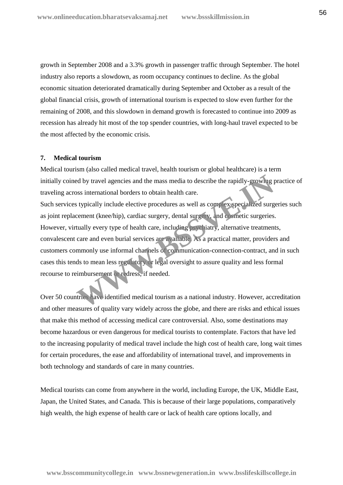growth in September 2008 and a 3.3% growth in passenger traffic through September. The hotel industry also reports a slowdown, as room occupancy continues to decline. As the global economic situation deteriorated dramatically during September and October as a result of the global financial crisis, growth of international tourism is expected to slow even further for the remaining of 2008, and this slowdown in demand growth is forecasted to continue into 2009 as recession has already hit most of the top spender countries, with long-haul travel expected to be the most affected by the economic crisis.

## **7. Medical tourism**

Medical tourism (also called medical travel, health tourism or global healthcare) is a term initially coined by travel agencies and the mass media to describe the rapidly-growing practice of traveling across international borders to obtain health care.

Such services typically include elective procedures as well as complex specialized surgeries such as joint replacement (knee/hip), cardiac surgery, dental surgery, and cosmetic surgeries. However, virtually every type of health care, including psychiatry, alternative treatments, convalescent care and even burial services are available. As a practical matter, providers and customers commonly use informal channels of communication-connection-contract, and in such cases this tends to mean less regulatory or legal oversight to assure quality and less formal recourse to reimbursement or redress, if needed. Example 18 by travel agencies and the mass media to describe the rapidly-growing p<br>
Sos international borders to obtain health care.<br>
Stypically include elective procedures as well as complex specialized surgement (knee/hi

Over 50 countries have identified medical tourism as a national industry. However, accreditation and other measures of quality vary widely across the globe, and there are risks and ethical issues that make this method of accessing medical care controversial. Also, some destinations may become hazardous or even dangerous for medical tourists to contemplate. Factors that have led to the increasing popularity of medical travel include the high cost of health care, long wait times for certain procedures, the ease and affordability of international travel, and improvements in both technology and standards of care in many countries.

Medical tourists can come from anywhere in the world, including Europe, the UK, Middle East, Japan, the United States, and Canada. This is because of their large populations, comparatively high wealth, the high expense of health care or lack of health care options locally, and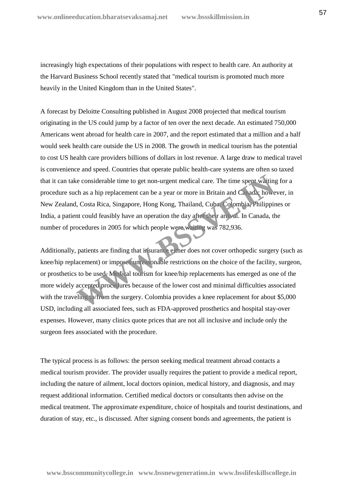increasingly high expectations of their populations with respect to health care. An authority at the Harvard Business School recently stated that "medical tourism is promoted much more heavily in the United Kingdom than in the United States".

A forecast by Deloitte Consulting published in August 2008 projected that medical tourism originating in the US could jump by a factor of ten over the next decade. An estimated 750,000 Americans went abroad for health care in 2007, and the report estimated that a million and a half would seek health care outside the US in 2008. The growth in medical tourism has the potential to cost US health care providers billions of dollars in lost revenue. A large draw to medical travel is convenience and speed. Countries that operate public health-care systems are often so taxed that it can take considerable time to get non-urgent medical care. The time spent waiting for a procedure such as a hip replacement can be a year or more in Britain and Canada; however, in New Zealand, Costa Rica, Singapore, Hong Kong, Thailand, Cuba, Colombia, Philippines or India, a patient could feasibly have an operation the day after their arrival. In Canada, the number of procedures in 2005 for which people were waiting was 782,936.

Additionally, patients are finding that insurance either does not cover orthopedic surgery (such as knee/hip replacement) or imposes unreasonable restrictions on the choice of the facility, surgeon, or prosthetics to be used. Medical tourism for knee/hip replacements has emerged as one of the more widely accepted procedures because of the lower cost and minimal difficulties associated with the traveling to/from the surgery. Colombia provides a knee replacement for about \$5,000 USD, including all associated fees, such as FDA-approved prosthetics and hospital stay-over expenses. However, many clinics quote prices that are not all inclusive and include only the surgeon fees associated with the procedure. Exercise the spent was 782,936.<br>
We also a hip replacement can be a year or more in Britain and Canada; howe<br>
I, Costa Rica, Singapore, Hong Kong, Thailand, Cuba, Colombia, Philippin<br>
In could feasibly have an operation th

The typical process is as follows: the person seeking medical treatment abroad contacts a medical tourism provider. The provider usually requires the patient to provide a medical report, including the nature of ailment, local doctors opinion, medical history, and diagnosis, and may request additional information. Certified medical doctors or consultants then advise on the medical treatment. The approximate expenditure, choice of hospitals and tourist destinations, and duration of stay, etc., is discussed. After signing consent bonds and agreements, the patient is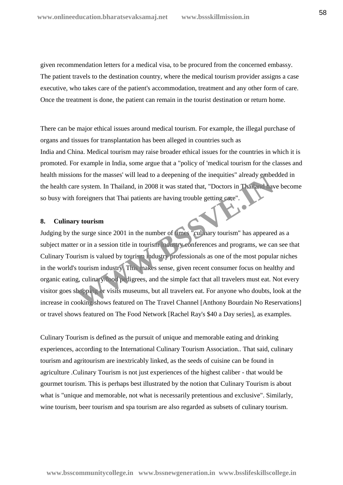given recommendation letters for a medical visa, to be procured from the concerned embassy. The patient travels to the destination country, where the medical tourism provider assigns a case executive, who takes care of the patient's accommodation, treatment and any other form of care. Once the treatment is done, the patient can remain in the tourist destination or return home.

There can be major ethical issues around medical tourism. For example, the illegal purchase of organs and tissues for transplantation has been alleged in countries such as India and China. Medical tourism may raise broader ethical issues for the countries in which it is promoted. For example in India, some argue that a "policy of 'medical tourism for the classes and health missions for the masses' will lead to a deepening of the inequities" already embedded in the health care system. In Thailand, in 2008 it was stated that, "Doctors in Thailand have become so busy with foreigners that Thai patients are having trouble getting care".

#### **8. Culinary tourism**

Judging by the surge since 2001 in the number of times "culinary tourism" has appeared as a subject matter or in a session title in tourism industry conferences and programs, we can see that Culinary Tourism is valued by tourism industry professionals as one of the most popular niches in the world's tourism industry. This makes sense, given recent consumer focus on healthy and organic eating, culinary/food pedigrees, and the simple fact that all travelers must eat. Not every visitor goes shopping or visits museums, but all travelers eat. For anyone who doubts, look at the increase in cooking shows featured on The Travel Channel [Anthony Bourdain No Reservations] or travel shows featured on The Food Network [Rachel Ray's \$40 a Day series], as examples. The masses will lead to a deepening or the inequities aready embered in the system. In Thailand, in 2008 it was stated that, "Doctors in Thailand have foreigners that Thai patients are having trouble getting *care*".<br> **We** 

Culinary Tourism is defined as the pursuit of unique and memorable eating and drinking experiences, according to the International Culinary Tourism Association.. That said, culinary tourism and agritourism are inextricably linked, as the seeds of cuisine can be found in agriculture .Culinary Tourism is not just experiences of the highest caliber - that would be gourmet tourism. This is perhaps best illustrated by the notion that Culinary Tourism is about what is "unique and memorable, not what is necessarily pretentious and exclusive". Similarly, wine tourism, beer tourism and spa tourism are also regarded as subsets of culinary tourism.